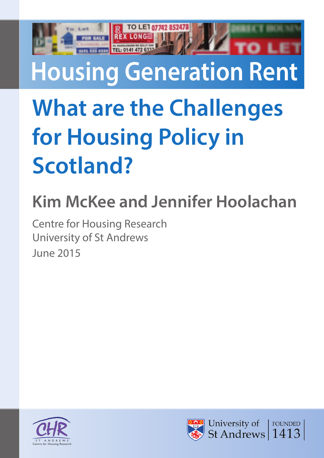TO LET 07742 85247

## **What are the Challenges for Housing Policy in Scotland?**

## **Kim McKee and Jennifer Hoolachan**

Centre for Housing Research University of St Andrews June 2015



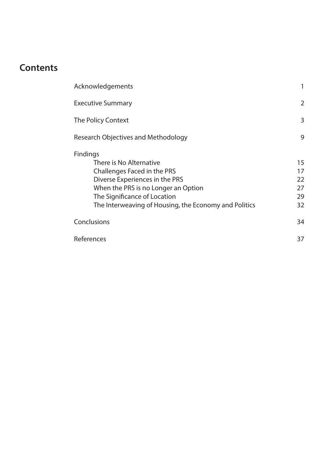## **Contents**

| Acknowledgements                                                                                                                                                                                                                            |                                  |
|---------------------------------------------------------------------------------------------------------------------------------------------------------------------------------------------------------------------------------------------|----------------------------------|
| <b>Executive Summary</b>                                                                                                                                                                                                                    | $\overline{2}$                   |
| The Policy Context                                                                                                                                                                                                                          | 3                                |
| <b>Research Objectives and Methodology</b>                                                                                                                                                                                                  | 9                                |
| <b>Findings</b><br>There is No Alternative<br>Challenges Faced in the PRS<br>Diverse Experiences in the PRS<br>When the PRS is no Longer an Option<br>The Significance of Location<br>The Interweaving of Housing, the Economy and Politics | 15<br>17<br>22<br>27<br>29<br>32 |
| Conclusions                                                                                                                                                                                                                                 | 34                               |
| References                                                                                                                                                                                                                                  | 37                               |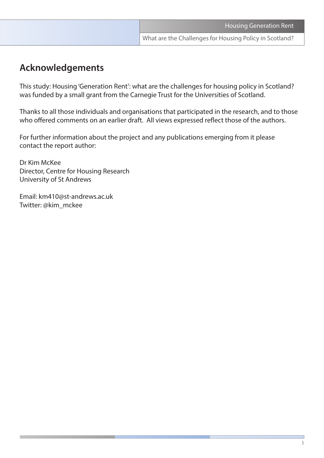### **Acknowledgements**

This study: Housing 'Generation Rent': what are the challenges for housing policy in Scotland? was funded by a small grant from the Carnegie Trust for the Universities of Scotland.

Thanks to all those individuals and organisations that participated in the research, and to those who offered comments on an earlier draft. All views expressed reflect those of the authors.

For further information about the project and any publications emerging from it please contact the report author:

Dr Kim McKee Director, Centre for Housing Research University of St Andrews

Email: km410@st-andrews.ac.uk Twitter: @kim\_mckee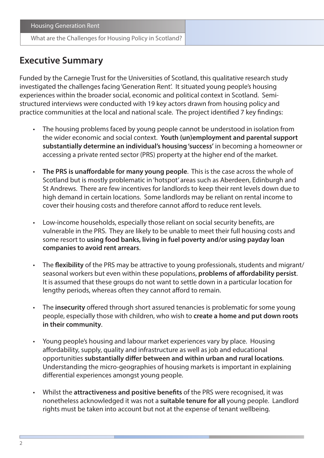## **Executive Summary**

Funded by the Carnegie Trust for the Universities of Scotland, this qualitative research study investigated the challenges facing 'Generation Rent'. It situated young people's housing experiences within the broader social, economic and political context in Scotland. Semistructured interviews were conducted with 19 key actors drawn from housing policy and practice communities at the local and national scale. The project identified 7 key findings:

- The housing problems faced by young people cannot be understood in isolation from the wider economic and social context. **Youth (un)employment and parental support substantially determine an individual's housing 'success'** in becoming a homeowner or accessing a private rented sector (PRS) property at the higher end of the market.
- **The PRS is unaffordable for many young people**. This is the case across the whole of Scotland but is mostly problematic in 'hotspot' areas such as Aberdeen, Edinburgh and St Andrews. There are few incentives for landlords to keep their rent levels down due to high demand in certain locations. Some landlords may be reliant on rental income to cover their housing costs and therefore cannot afford to reduce rent levels.
- Low-income households, especially those reliant on social security benefits, are vulnerable in the PRS. They are likely to be unable to meet their full housing costs and some resort to **using food banks, living in fuel poverty and/or using payday loan companies to avoid rent arrears**.
- The **flexibility** of the PRS may be attractive to young professionals, students and migrant/ seasonal workers but even within these populations, **problems of affordability persist**. It is assumed that these groups do not want to settle down in a particular location for lengthy periods, whereas often they cannot afford to remain.
- The **insecurity** offered through short assured tenancies is problematic for some young people, especially those with children, who wish to **create a home and put down roots in their community**.
- Young people's housing and labour market experiences vary by place. Housing affordability, supply, quality and infrastructure as well as job and educational opportunities **substantially differ between and within urban and rural locations**. Understanding the micro-geographies of housing markets is important in explaining differential experiences amongst young people.
- Whilst the **attractiveness and positive benefits** of the PRS were recognised, it was nonetheless acknowledged it was not a **suitable tenure for all** young people. Landlord rights must be taken into account but not at the expense of tenant wellbeing.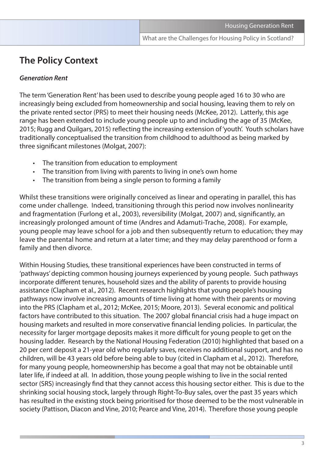## **The Policy Context**

#### *Generation Rent*

The term 'Generation Rent' has been used to describe young people aged 16 to 30 who are increasingly being excluded from homeownership and social housing, leaving them to rely on the private rented sector (PRS) to meet their housing needs (McKee, 2012). Latterly, this age range has been extended to include young people up to and including the age of 35 (McKee, 2015; Rugg and Quilgars, 2015) reflecting the increasing extension of 'youth'. Youth scholars have traditionally conceptualised the transition from childhood to adulthood as being marked by three significant milestones (Molgat, 2007):

- The transition from education to employment
- The transition from living with parents to living in one's own home
- The transition from being a single person to forming a family

Whilst these transitions were originally conceived as linear and operating in parallel, this has come under challenge. Indeed, transitioning through this period now involves nonlinearity and fragmentation (Furlong et al., 2003), reversibility (Molgat, 2007) and, significantly, an increasingly prolonged amount of time (Andres and Adamuti-Trache, 2008). For example, young people may leave school for a job and then subsequently return to education; they may leave the parental home and return at a later time; and they may delay parenthood or form a family and then divorce.

Within Housing Studies, these transitional experiences have been constructed in terms of 'pathways' depicting common housing journeys experienced by young people. Such pathways incorporate different tenures, household sizes and the ability of parents to provide housing assistance (Clapham et al., 2012). Recent research highlights that young people's housing pathways now involve increasing amounts of time living at home with their parents or moving into the PRS (Clapham et al., 2012; McKee, 2015; Moore, 2013). Several economic and political factors have contributed to this situation. The 2007 global financial crisis had a huge impact on housing markets and resulted in more conservative financial lending policies. In particular, the necessity for larger mortgage deposits makes it more difficult for young people to get on the housing ladder. Research by the National Housing Federation (2010) highlighted that based on a 20 per cent deposit a 21-year old who regularly saves, receives no additional support, and has no children, will be 43 years old before being able to buy (cited in Clapham et al., 2012). Therefore, for many young people, homeownership has become a goal that may not be obtainable until later life, if indeed at all. In addition, those young people wishing to live in the social rented sector (SRS) increasingly find that they cannot access this housing sector either. This is due to the shrinking social housing stock, largely through Right-To-Buy sales, over the past 35 years which has resulted in the existing stock being prioritised for those deemed to be the most vulnerable in society (Pattison, Diacon and Vine, 2010; Pearce and Vine, 2014). Therefore those young people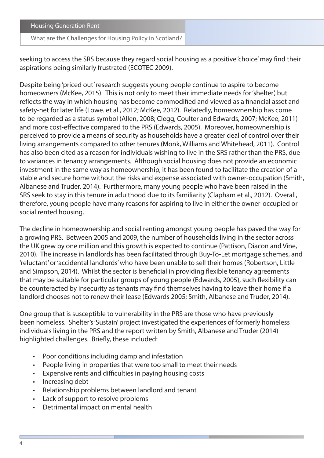#### What are the Challenges for Housing Policy in Scotland?

seeking to access the SRS because they regard social housing as a positive 'choice' may find their aspirations being similarly frustrated (ECOTEC 2009).

Despite being 'priced out' research suggests young people continue to aspire to become homeowners (McKee, 2015). This is not only to meet their immediate needs for 'shelter', but reflects the way in which housing has become commodified and viewed as a financial asset and safety-net for later life (Lowe. et al., 2012; McKee, 2012). Relatedly, homeownership has come to be regarded as a status symbol (Allen, 2008; Clegg, Coulter and Edwards, 2007; McKee, 2011) and more cost-effective compared to the PRS (Edwards, 2005). Moreover, homeownership is perceived to provide a means of security as households have a greater deal of control over their living arrangements compared to other tenures (Monk, Williams and Whitehead, 2011). Control has also been cited as a reason for individuals wishing to live in the SRS rather than the PRS, due to variances in tenancy arrangements. Although social housing does not provide an economic investment in the same way as homeownership, it has been found to facilitate the creation of a stable and secure home without the risks and expense associated with owner-occupation (Smith, Albanese and Truder, 2014). Furthermore, many young people who have been raised in the SRS seek to stay in this tenure in adulthood due to its familiarity (Clapham et al., 2012). Overall, therefore, young people have many reasons for aspiring to live in either the owner-occupied or social rented housing.

The decline in homeownership and social renting amongst young people has paved the way for a growing PRS. Between 2005 and 2009, the number of households living in the sector across the UK grew by one million and this growth is expected to continue (Pattison, Diacon and Vine, 2010). The increase in landlords has been facilitated through Buy-To-Let mortgage schemes, and 'reluctant' or 'accidental landlords' who have been unable to sell their homes (Robertson, Little and Simpson, 2014). Whilst the sector is beneficial in providing flexible tenancy agreements that may be suitable for particular groups of young people (Edwards, 2005), such flexibility can be counteracted by insecurity as tenants may find themselves having to leave their home if a landlord chooses not to renew their lease (Edwards 2005; Smith, Albanese and Truder, 2014).

One group that is susceptible to vulnerability in the PRS are those who have previously been homeless. Shelter's 'Sustain' project investigated the experiences of formerly homeless individuals living in the PRS and the report written by Smith, Albanese and Truder (2014) highlighted challenges. Briefly, these included:

- Poor conditions including damp and infestation
- People living in properties that were too small to meet their needs
- Expensive rents and difficulties in paying housing costs
- Increasing debt
- Relationship problems between landlord and tenant
- Lack of support to resolve problems
- Detrimental impact on mental health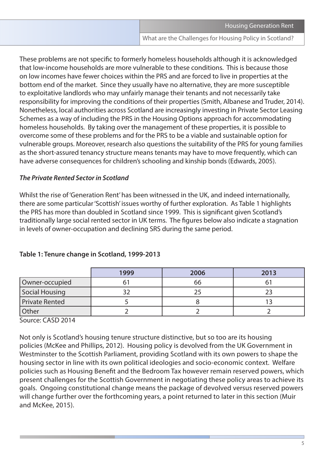These problems are not specific to formerly homeless households although it is acknowledged that low-income households are more vulnerable to these conditions. This is because those on low incomes have fewer choices within the PRS and are forced to live in properties at the bottom end of the market. Since they usually have no alternative, they are more susceptible to exploitative landlords who may unfairly manage their tenants and not necessarily take responsibility for improving the conditions of their properties (Smith, Albanese and Truder, 2014). Nonetheless, local authorities across Scotland are increasingly investing in Private Sector Leasing Schemes as a way of including the PRS in the Housing Options approach for accommodating homeless households. By taking over the management of these properties, it is possible to overcome some of these problems and for the PRS to be a viable and sustainable option for vulnerable groups. Moreover, research also questions the suitability of the PRS for young families as the short-assured tenancy structure means tenants may have to move frequently, which can have adverse consequences for children's schooling and kinship bonds (Edwards, 2005).

#### *The Private Rented Sector in Scotland*

Whilst the rise of 'Generation Rent' has been witnessed in the UK, and indeed internationally, there are some particular 'Scottish' issues worthy of further exploration. As Table 1 highlights the PRS has more than doubled in Scotland since 1999. This is significant given Scotland's traditionally large social rented sector in UK terms. The figures below also indicate a stagnation in levels of owner-occupation and declining SRS during the same period.

|                | 1999 | 2006 | 2013 |
|----------------|------|------|------|
| Owner-occupied |      | 66   |      |
| Social Housing |      |      |      |
| Private Rented |      |      |      |
| Other          |      |      |      |

#### **Table 1: Tenure change in Scotland, 1999-2013**

Source: CASD 2014

Not only is Scotland's housing tenure structure distinctive, but so too are its housing policies (McKee and Phillips, 2012). Housing policy is devolved from the UK Government in Westminster to the Scottish Parliament, providing Scotland with its own powers to shape the housing sector in line with its own political ideologies and socio-economic context. Welfare policies such as Housing Benefit and the Bedroom Tax however remain reserved powers, which present challenges for the Scottish Government in negotiating these policy areas to achieve its goals. Ongoing constitutional change means the package of devolved versus reserved powers will change further over the forthcoming years, a point returned to later in this section (Muir and McKee, 2015).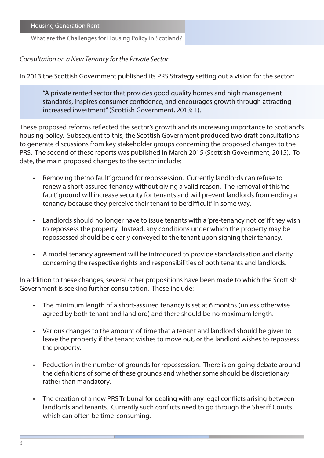| Housing Generation Rent                                 |
|---------------------------------------------------------|
| What are the Challenges for Housing Policy in Scotland? |

#### *Consultation on a New Tenancy for the Private Sector*

In 2013 the Scottish Government published its PRS Strategy setting out a vision for the sector:

"A private rented sector that provides good quality homes and high management standards, inspires consumer confidence, and encourages growth through attracting increased investment" (Scottish Government, 2013: 1).

These proposed reforms reflected the sector's growth and its increasing importance to Scotland's housing policy. Subsequent to this, the Scottish Government produced two draft consultations to generate discussions from key stakeholder groups concerning the proposed changes to the PRS. The second of these reports was published in March 2015 (Scottish Government, 2015). To date, the main proposed changes to the sector include:

- Removing the 'no fault' ground for repossession. Currently landlords can refuse to renew a short-assured tenancy without giving a valid reason. The removal of this 'no fault' ground will increase security for tenants and will prevent landlords from ending a tenancy because they perceive their tenant to be 'difficult' in some way.
- Landlords should no longer have to issue tenants with a 'pre-tenancy notice' if they wish to repossess the property. Instead, any conditions under which the property may be repossessed should be clearly conveyed to the tenant upon signing their tenancy.
- A model tenancy agreement will be introduced to provide standardisation and clarity concerning the respective rights and responsibilities of both tenants and landlords.

In addition to these changes, several other propositions have been made to which the Scottish Government is seeking further consultation. These include:

- The minimum length of a short-assured tenancy is set at 6 months (unless otherwise agreed by both tenant and landlord) and there should be no maximum length.
- Various changes to the amount of time that a tenant and landlord should be given to leave the property if the tenant wishes to move out, or the landlord wishes to repossess the property.
- Reduction in the number of grounds for repossession. There is on-going debate around the definitions of some of these grounds and whether some should be discretionary rather than mandatory.
- The creation of a new PRS Tribunal for dealing with any legal conflicts arising between landlords and tenants. Currently such conflicts need to go through the Sheriff Courts which can often be time-consuming.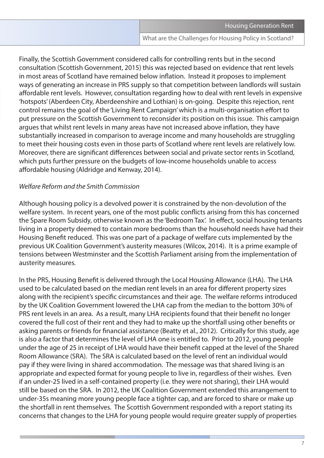Finally, the Scottish Government considered calls for controlling rents but in the second consultation (Scottish Government, 2015) this was rejected based on evidence that rent levels in most areas of Scotland have remained below inflation. Instead it proposes to implement ways of generating an increase in PRS supply so that competition between landlords will sustain affordable rent levels. However, consultation regarding how to deal with rent levels in expensive 'hotspots' (Aberdeen City, Aberdeenshire and Lothian) is on-going. Despite this rejection, rent control remains the goal of the 'Living Rent Campaign' which is a multi-organisation effort to put pressure on the Scottish Government to reconsider its position on this issue. This campaign argues that whilst rent levels in many areas have not increased above inflation, they have substantially increased in comparison to average income and many households are struggling to meet their housing costs even in those parts of Scotland where rent levels are relatively low. Moreover, there are significant differences between social and private sector rents in Scotland, which puts further pressure on the budgets of low-income households unable to access affordable housing (Aldridge and Kenway, 2014).

#### *Welfare Reform and the Smith Commission*

Although housing policy is a devolved power it is constrained by the non-devolution of the welfare system. In recent years, one of the most public conflicts arising from this has concerned the Spare Room Subsidy, otherwise known as the 'Bedroom Tax'. In effect, social housing tenants living in a property deemed to contain more bedrooms than the household needs have had their Housing Benefit reduced. This was one part of a package of welfare cuts implemented by the previous UK Coalition Government's austerity measures (Wilcox, 2014). It is a prime example of tensions between Westminster and the Scottish Parliament arising from the implementation of austerity measures.

In the PRS, Housing Benefit is delivered through the Local Housing Allowance (LHA). The LHA used to be calculated based on the median rent levels in an area for different property sizes along with the recipient's specific circumstances and their age. The welfare reforms introduced by the UK Coalition Government lowered the LHA cap from the median to the bottom 30% of PRS rent levels in an area. As a result, many LHA recipients found that their benefit no longer covered the full cost of their rent and they had to make up the shortfall using other benefits or asking parents or friends for financial assistance (Beatty et al., 2012). Critically for this study, age is also a factor that determines the level of LHA one is entitled to. Prior to 2012, young people under the age of 25 in receipt of LHA would have their benefit capped at the level of the Shared Room Allowance (SRA). The SRA is calculated based on the level of rent an individual would pay if they were living in shared accommodation. The message was that shared living is an appropriate and expected format for young people to live in, regardless of their wishes. Even if an under-25 lived in a self-contained property (i.e. they were not sharing), their LHA would still be based on the SRA. In 2012, the UK Coalition Government extended this arrangement to under-35s meaning more young people face a tighter cap, and are forced to share or make up the shortfall in rent themselves. The Scottish Government responded with a report stating its concerns that changes to the LHA for young people would require greater supply of properties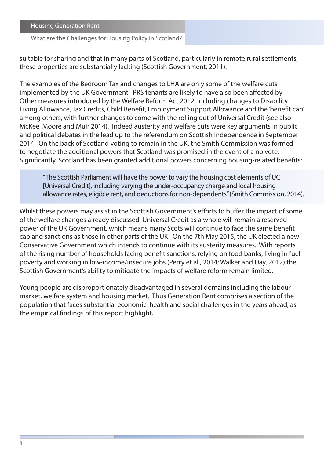#### What are the Challenges for Housing Policy in Scotland?

suitable for sharing and that in many parts of Scotland, particularly in remote rural settlements, these properties are substantially lacking (Scottish Government, 2011).

The examples of the Bedroom Tax and changes to LHA are only some of the welfare cuts implemented by the UK Government. PRS tenants are likely to have also been affected by Other measures introduced by the Welfare Reform Act 2012, including changes to Disability Living Allowance, Tax Credits, Child Benefit, Employment Support Allowance and the 'benefit cap' among others, with further changes to come with the rolling out of Universal Credit (see also McKee, Moore and Muir 2014). Indeed austerity and welfare cuts were key arguments in public and political debates in the lead up to the referendum on Scottish Independence in September 2014. On the back of Scotland voting to remain in the UK, the Smith Commission was formed to negotiate the additional powers that Scotland was promised in the event of a no vote. Significantly, Scotland has been granted additional powers concerning housing-related benefits:

"The Scottish Parliament will have the power to vary the housing cost elements of UC [Universal Credit], including varying the under-occupancy charge and local housing allowance rates, eligible rent, and deductions for non-dependents" (Smith Commission, 2014).

Whilst these powers may assist in the Scottish Government's efforts to buffer the impact of some of the welfare changes already discussed, Universal Credit as a whole will remain a reserved power of the UK Government, which means many Scots will continue to face the same benefit cap and sanctions as those in other parts of the UK. On the 7th May 2015, the UK elected a new Conservative Government which intends to continue with its austerity measures. With reports of the rising number of households facing benefit sanctions, relying on food banks, living in fuel poverty and working in low-income/insecure jobs (Perry et al., 2014; Walker and Day, 2012) the Scottish Government's ability to mitigate the impacts of welfare reform remain limited.

Young people are disproportionately disadvantaged in several domains including the labour market, welfare system and housing market. Thus Generation Rent comprises a section of the population that faces substantial economic, health and social challenges in the years ahead, as the empirical findings of this report highlight.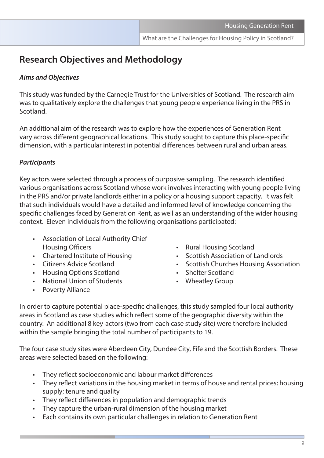## **Research Objectives and Methodology**

#### *Aims and Objectives*

This study was funded by the Carnegie Trust for the Universities of Scotland. The research aim was to qualitatively explore the challenges that young people experience living in the PRS in Scotland.

An additional aim of the research was to explore how the experiences of Generation Rent vary across different geographical locations. This study sought to capture this place-specific dimension, with a particular interest in potential differences between rural and urban areas.

#### *Participants*

Key actors were selected through a process of purposive sampling. The research identified various organisations across Scotland whose work involves interacting with young people living in the PRS and/or private landlords either in a policy or a housing support capacity. It was felt that such individuals would have a detailed and informed level of knowledge concerning the specific challenges faced by Generation Rent, as well as an understanding of the wider housing context. Eleven individuals from the following organisations participated:

- Association of Local Authority Chief Housing Officers **• Rural Housing Scotland**
- 
- 
- Housing Options Scotland **•** Shelter Scotland
- National Union of Students Wheatley Group
- Poverty Alliance
- 
- Chartered Institute of Housing Scottish Association of Landlords
- Citizens Advice Scotland Scottish Churches Housing Association
	-
	-

In order to capture potential place-specific challenges, this study sampled four local authority areas in Scotland as case studies which reflect some of the geographic diversity within the country. An additional 8 key-actors (two from each case study site) were therefore included within the sample bringing the total number of participants to 19.

The four case study sites were Aberdeen City, Dundee City, Fife and the Scottish Borders. These areas were selected based on the following:

- They reflect socioeconomic and labour market differences
- They reflect variations in the housing market in terms of house and rental prices; housing supply; tenure and quality
- They reflect differences in population and demographic trends
- They capture the urban-rural dimension of the housing market
- Each contains its own particular challenges in relation to Generation Rent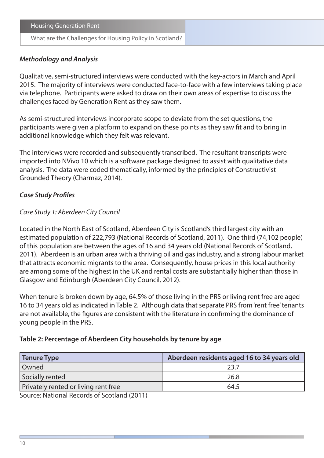#### *Methodology and Analysis*

Qualitative, semi-structured interviews were conducted with the key-actors in March and April 2015. The majority of interviews were conducted face-to-face with a few interviews taking place via telephone. Participants were asked to draw on their own areas of expertise to discuss the challenges faced by Generation Rent as they saw them.

As semi-structured interviews incorporate scope to deviate from the set questions, the participants were given a platform to expand on these points as they saw fit and to bring in additional knowledge which they felt was relevant.

The interviews were recorded and subsequently transcribed. The resultant transcripts were imported into NVivo 10 which is a software package designed to assist with qualitative data analysis. The data were coded thematically, informed by the principles of Constructivist Grounded Theory (Charmaz, 2014).

#### *Case Study Profiles*

#### *Case Study 1: Aberdeen City Council*

Located in the North East of Scotland, Aberdeen City is Scotland's third largest city with an estimated population of 222,793 (National Records of Scotland, 2011). One third (74,102 people) of this population are between the ages of 16 and 34 years old (National Records of Scotland, 2011). Aberdeen is an urban area with a thriving oil and gas industry, and a strong labour market that attracts economic migrants to the area. Consequently, house prices in this local authority are among some of the highest in the UK and rental costs are substantially higher than those in Glasgow and Edinburgh (Aberdeen City Council, 2012).

When tenure is broken down by age, 64.5% of those living in the PRS or living rent free are aged 16 to 34 years old as indicated in Table 2. Although data that separate PRS from 'rent free' tenants are not available, the figures are consistent with the literature in confirming the dominance of young people in the PRS.

#### **Table 2: Percentage of Aberdeen City households by tenure by age**

| Aberdeen residents aged 16 to 34 years old |  |
|--------------------------------------------|--|
| 23 7                                       |  |
| 26.8                                       |  |
| 64.5                                       |  |
|                                            |  |

Source: National Records of Scotland (2011)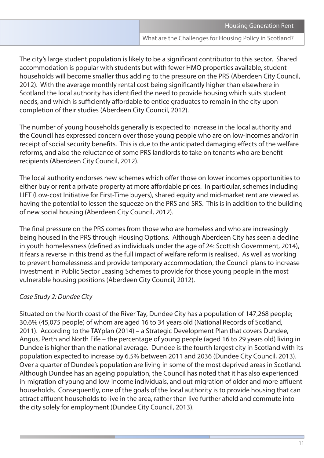The city's large student population is likely to be a significant contributor to this sector. Shared accommodation is popular with students but with fewer HMO properties available, student households will become smaller thus adding to the pressure on the PRS (Aberdeen City Council, 2012). With the average monthly rental cost being significantly higher than elsewhere in Scotland the local authority has identified the need to provide housing which suits student needs, and which is sufficiently affordable to entice graduates to remain in the city upon completion of their studies (Aberdeen City Council, 2012).

The number of young households generally is expected to increase in the local authority and the Council has expressed concern over those young people who are on low-incomes and/or in receipt of social security benefits. This is due to the anticipated damaging effects of the welfare reforms, and also the reluctance of some PRS landlords to take on tenants who are benefit recipients (Aberdeen City Council, 2012).

The local authority endorses new schemes which offer those on lower incomes opportunities to either buy or rent a private property at more affordable prices. In particular, schemes including LIFT (Low-cost Initiative for First-Time buyers), shared equity and mid-market rent are viewed as having the potential to lessen the squeeze on the PRS and SRS. This is in addition to the building of new social housing (Aberdeen City Council, 2012).

The final pressure on the PRS comes from those who are homeless and who are increasingly being housed in the PRS through Housing Options. Although Aberdeen City has seen a decline in youth homelessness (defined as individuals under the age of 24: Scottish Government, 2014), it fears a reverse in this trend as the full impact of welfare reform is realised. As well as working to prevent homelessness and provide temporary accommodation, the Council plans to increase investment in Public Sector Leasing Schemes to provide for those young people in the most vulnerable housing positions (Aberdeen City Council, 2012).

#### *Case Study 2: Dundee City*

Situated on the North coast of the River Tay, Dundee City has a population of 147,268 people; 30.6% (45,075 people) of whom are aged 16 to 34 years old (National Records of Scotland, 2011). According to the TAYplan (2014) – a Strategic Development Plan that covers Dundee, Angus, Perth and North Fife – the percentage of young people (aged 16 to 29 years old) living in Dundee is higher than the national average. Dundee is the fourth largest city in Scotland with its population expected to increase by 6.5% between 2011 and 2036 (Dundee City Council, 2013). Over a quarter of Dundee's population are living in some of the most deprived areas in Scotland. Although Dundee has an ageing population, the Council has noted that it has also experienced in-migration of young and low-income individuals, and out-migration of older and more affluent households. Consequently, one of the goals of the local authority is to provide housing that can attract affluent households to live in the area, rather than live further afield and commute into the city solely for employment (Dundee City Council, 2013).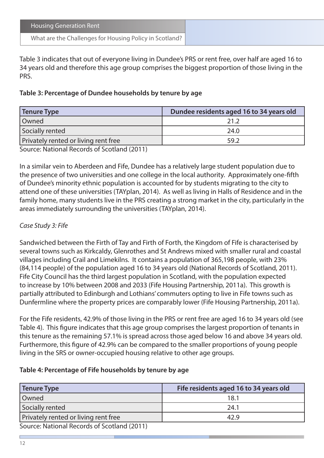| <b>Housing Generation Rent</b>                          |
|---------------------------------------------------------|
| What are the Challenges for Housing Policy in Scotland? |

Table 3 indicates that out of everyone living in Dundee's PRS or rent free, over half are aged 16 to 34 years old and therefore this age group comprises the biggest proportion of those living in the PRS.

#### **Table 3: Percentage of Dundee households by tenure by age**

| Tenure Type                                  | Dundee residents aged 16 to 34 years old |
|----------------------------------------------|------------------------------------------|
| Owned                                        | ว1 ว                                     |
| Socially rented                              | 24.0                                     |
| Privately rented or living rent free         | 59.2                                     |
| Course Notional Desember of Continual (2011) |                                          |

Source: National Records of Scotland (2011)

In a similar vein to Aberdeen and Fife, Dundee has a relatively large student population due to the presence of two universities and one college in the local authority. Approximately one-fifth of Dundee's minority ethnic population is accounted for by students migrating to the city to attend one of these universities (TAYplan, 2014). As well as living in Halls of Residence and in the family home, many students live in the PRS creating a strong market in the city, particularly in the areas immediately surrounding the universities (TAYplan, 2014).

#### *Case Study 3: Fife*

Sandwiched between the Firth of Tay and Firth of Forth, the Kingdom of Fife is characterised by several towns such as Kirkcaldy, Glenrothes and St Andrews mixed with smaller rural and coastal villages including Crail and Limekilns. It contains a population of 365,198 people, with 23% (84,114 people) of the population aged 16 to 34 years old (National Records of Scotland, 2011). Fife City Council has the third largest population in Scotland, with the population expected to increase by 10% between 2008 and 2033 (Fife Housing Partnership, 2011a). This growth is partially attributed to Edinburgh and Lothians' commuters opting to live in Fife towns such as Dunfermline where the property prices are comparably lower (Fife Housing Partnership, 2011a).

For the Fife residents, 42.9% of those living in the PRS or rent free are aged 16 to 34 years old (see Table 4). This figure indicates that this age group comprises the largest proportion of tenants in this tenure as the remaining 57.1% is spread across those aged below 16 and above 34 years old. Furthermore, this figure of 42.9% can be compared to the smaller proportions of young people living in the SRS or owner-occupied housing relative to other age groups.

#### **Table 4: Percentage of Fife households by tenure by age**

| <b>Tenure Type</b>                          | Fife residents aged 16 to 34 years old |
|---------------------------------------------|----------------------------------------|
| Owned                                       | 18.1                                   |
| Socially rented                             | 24.1                                   |
| Privately rented or living rent free        | 42.9                                   |
| Source: National Records of Scotland (2011) |                                        |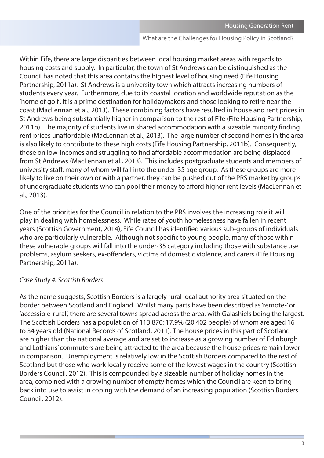Within Fife, there are large disparities between local housing market areas with regards to housing costs and supply. In particular, the town of St Andrews can be distinguished as the Council has noted that this area contains the highest level of housing need (Fife Housing Partnership, 2011a). St Andrews is a university town which attracts increasing numbers of students every year. Furthermore, due to its coastal location and worldwide reputation as the 'home of golf', it is a prime destination for holidaymakers and those looking to retire near the coast (MacLennan et al., 2013). These combining factors have resulted in house and rent prices in St Andrews being substantially higher in comparison to the rest of Fife (Fife Housing Partnership, 2011b). The majority of students live in shared accommodation with a sizeable minority finding rent prices unaffordable (MacLennan et al., 2013). The large number of second homes in the area is also likely to contribute to these high costs (Fife Housing Partnership, 2011b). Consequently, those on low-incomes and struggling to find affordable accommodation are being displaced from St Andrews (MacLennan et al., 2013). This includes postgraduate students and members of university staff, many of whom will fall into the under-35 age group. As these groups are more likely to live on their own or with a partner, they can be pushed out of the PRS market by groups of undergraduate students who can pool their money to afford higher rent levels (MacLennan et al., 2013).

One of the priorities for the Council in relation to the PRS involves the increasing role it will play in dealing with homelessness. While rates of youth homelessness have fallen in recent years (Scottish Government, 2014), Fife Council has identified various sub-groups of individuals who are particularly vulnerable. Although not specific to young people, many of those within these vulnerable groups will fall into the under-35 category including those with substance use problems, asylum seekers, ex-offenders, victims of domestic violence, and carers (Fife Housing Partnership, 2011a).

#### *Case Study 4: Scottish Borders*

As the name suggests, Scottish Borders is a largely rural local authority area situated on the border between Scotland and England. Whilst many parts have been described as 'remote-' or 'accessible-rural', there are several towns spread across the area, with Galashiels being the largest. The Scottish Borders has a population of 113,870; 17.9% (20,402 people) of whom are aged 16 to 34 years old (National Records of Scotland, 2011). The house prices in this part of Scotland are higher than the national average and are set to increase as a growing number of Edinburgh and Lothians' commuters are being attracted to the area because the house prices remain lower in comparison. Unemployment is relatively low in the Scottish Borders compared to the rest of Scotland but those who work locally receive some of the lowest wages in the country (Scottish Borders Council, 2012). This is compounded by a sizeable number of holiday homes in the area, combined with a growing number of empty homes which the Council are keen to bring back into use to assist in coping with the demand of an increasing population (Scottish Borders Council, 2012).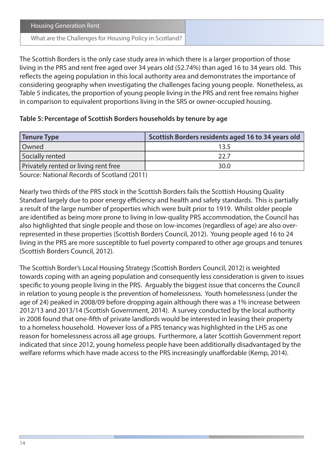What are the Challenges for Housing Policy in Scotland?

The Scottish Borders is the only case study area in which there is a larger proportion of those living in the PRS and rent free aged over 34 years old (52.74%) than aged 16 to 34 years old. This reflects the ageing population in this local authority area and demonstrates the importance of considering geography when investigating the challenges facing young people. Nonetheless, as Table 5 indicates, the proportion of young people living in the PRS and rent free remains higher in comparison to equivalent proportions living in the SRS or owner-occupied housing.

#### **Table 5: Percentage of Scottish Borders households by tenure by age**

| Scottish Borders residents aged 16 to 34 years old |
|----------------------------------------------------|
|                                                    |
| 22 Z                                               |
| 30.0                                               |
|                                                    |

Source: National Records of Scotland (2011)

Nearly two thirds of the PRS stock in the Scottish Borders fails the Scottish Housing Quality Standard largely due to poor energy efficiency and health and safety standards. This is partially a result of the large number of properties which were built prior to 1919. Whilst older people are identified as being more prone to living in low-quality PRS accommodation, the Council has also highlighted that single people and those on low-incomes (regardless of age) are also overrepresented in these properties (Scottish Borders Council, 2012). Young people aged 16 to 24 living in the PRS are more susceptible to fuel poverty compared to other age groups and tenures (Scottish Borders Council, 2012).

The Scottish Border's Local Housing Strategy (Scottish Borders Council, 2012) is weighted towards coping with an ageing population and consequently less consideration is given to issues specific to young people living in the PRS. Arguably the biggest issue that concerns the Council in relation to young people is the prevention of homelessness. Youth homelessness (under the age of 24) peaked in 2008/09 before dropping again although there was a 1% increase between 2012/13 and 2013/14 (Scottish Government, 2014). A survey conducted by the local authority in 2008 found that one-fifth of private landlords would be interested in leasing their property to a homeless household. However loss of a PRS tenancy was highlighted in the LHS as one reason for homelessness across all age groups. Furthermore, a later Scottish Government report indicated that since 2012, young homeless people have been additionally disadvantaged by the welfare reforms which have made access to the PRS increasingly unaffordable (Kemp, 2014).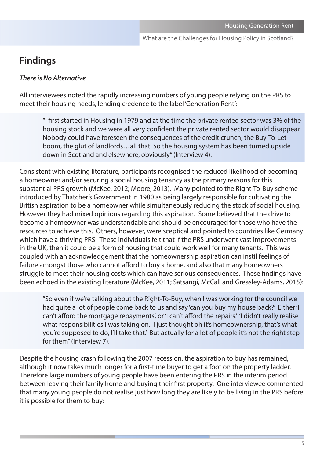## **Findings**

#### *There is No Alternative*

All interviewees noted the rapidly increasing numbers of young people relying on the PRS to meet their housing needs, lending credence to the label 'Generation Rent':

"I first started in Housing in 1979 and at the time the private rented sector was 3% of the housing stock and we were all very confident the private rented sector would disappear. Nobody could have foreseen the consequences of the credit crunch, the Buy-To-Let boom, the glut of landlords…all that. So the housing system has been turned upside down in Scotland and elsewhere, obviously" (Interview 4).

Consistent with existing literature, participants recognised the reduced likelihood of becoming a homeowner and/or securing a social housing tenancy as the primary reasons for this substantial PRS growth (McKee, 2012; Moore, 2013). Many pointed to the Right-To-Buy scheme introduced by Thatcher's Government in 1980 as being largely responsible for cultivating the British aspiration to be a homeowner while simultaneously reducing the stock of social housing. However they had mixed opinions regarding this aspiration. Some believed that the drive to become a homeowner was understandable and should be encouraged for those who have the resources to achieve this. Others, however, were sceptical and pointed to countries like Germany which have a thriving PRS. These individuals felt that if the PRS underwent vast improvements in the UK, then it could be a form of housing that could work well for many tenants. This was coupled with an acknowledgement that the homeownership aspiration can instil feelings of failure amongst those who cannot afford to buy a home, and also that many homeowners struggle to meet their housing costs which can have serious consequences. These findings have been echoed in the existing literature (McKee, 2011; Satsangi, McCall and Greasley-Adams, 2015):

"So even if we're talking about the Right-To-Buy, when I was working for the council we had quite a lot of people come back to us and say 'can you buy my house back?' Either 'I can't afford the mortgage repayments', or 'I can't afford the repairs.' 'I didn't really realise what responsibilities I was taking on. I just thought oh it's homeownership, that's what you're supposed to do, I'll take that.' But actually for a lot of people it's not the right step for them" (Interview 7).

Despite the housing crash following the 2007 recession, the aspiration to buy has remained, although it now takes much longer for a first-time buyer to get a foot on the property ladder. Therefore large numbers of young people have been entering the PRS in the interim period between leaving their family home and buying their first property. One interviewee commented that many young people do not realise just how long they are likely to be living in the PRS before it is possible for them to buy: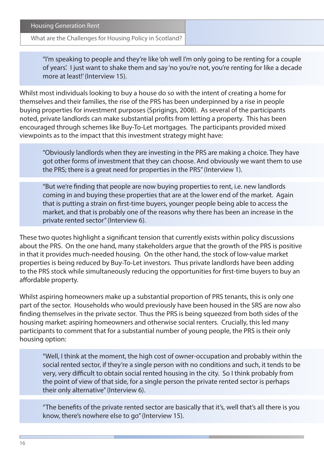What are the Challenges for Housing Policy in Scotland?

"I'm speaking to people and they're like 'oh well I'm only going to be renting for a couple of years'. I just want to shake them and say 'no you're not, you're renting for like a decade more at least!' (Interview 15).

Whilst most individuals looking to buy a house do so with the intent of creating a home for themselves and their families, the rise of the PRS has been underpinned by a rise in people buying properties for investment purposes (Sprigings, 2008). As several of the participants noted, private landlords can make substantial profits from letting a property. This has been encouraged through schemes like Buy-To-Let mortgages. The participants provided mixed viewpoints as to the impact that this investment strategy might have:

"Obviously landlords when they are investing in the PRS are making a choice. They have got other forms of investment that they can choose. And obviously we want them to use the PRS; there is a great need for properties in the PRS" (Interview 1).

"But we're finding that people are now buying properties to rent, i.e. new landlords coming in and buying these properties that are at the lower end of the market. Again that is putting a strain on first-time buyers, younger people being able to access the market, and that is probably one of the reasons why there has been an increase in the private rented sector" (Interview 6).

These two quotes highlight a significant tension that currently exists within policy discussions about the PRS. On the one hand, many stakeholders argue that the growth of the PRS is positive in that it provides much-needed housing. On the other hand, the stock of low-value market properties is being reduced by Buy-To-Let investors. Thus private landlords have been adding to the PRS stock while simultaneously reducing the opportunities for first-time buyers to buy an affordable property.

Whilst aspiring homeowners make up a substantial proportion of PRS tenants, this is only one part of the sector. Households who would previously have been housed in the SRS are now also finding themselves in the private sector. Thus the PRS is being squeezed from both sides of the housing market: aspiring homeowners and otherwise social renters. Crucially, this led many participants to comment that for a substantial number of young people, the PRS is their only housing option:

"Well, I think at the moment, the high cost of owner-occupation and probably within the social rented sector, if they're a single person with no conditions and such, it tends to be very, very difficult to obtain social rented housing in the city. So I think probably from the point of view of that side, for a single person the private rented sector is perhaps their only alternative" (Interview 6).

"The benefits of the private rented sector are basically that it's, well that's all there is you know, there's nowhere else to go" (Interview 15).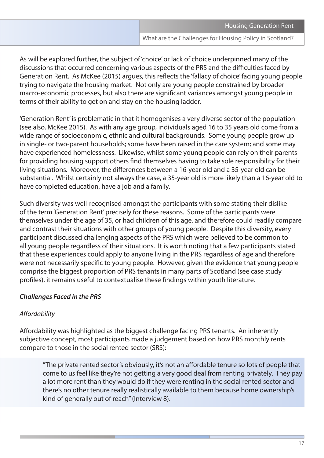As will be explored further, the subject of 'choice' or lack of choice underpinned many of the discussions that occurred concerning various aspects of the PRS and the difficulties faced by Generation Rent. As McKee (2015) argues, this reflects the 'fallacy of choice' facing young people trying to navigate the housing market. Not only are young people constrained by broader macro-economic processes, but also there are significant variances amongst young people in terms of their ability to get on and stay on the housing ladder.

'Generation Rent' is problematic in that it homogenises a very diverse sector of the population (see also, McKee 2015). As with any age group, individuals aged 16 to 35 years old come from a wide range of socioeconomic, ethnic and cultural backgrounds. Some young people grow up in single- or two-parent households; some have been raised in the care system; and some may have experienced homelessness. Likewise, whilst some young people can rely on their parents for providing housing support others find themselves having to take sole responsibility for their living situations. Moreover, the differences between a 16-year old and a 35-year old can be substantial. Whilst certainly not always the case, a 35-year old is more likely than a 16-year old to have completed education, have a job and a family.

Such diversity was well-recognised amongst the participants with some stating their dislike of the term 'Generation Rent' precisely for these reasons. Some of the participants were themselves under the age of 35, or had children of this age, and therefore could readily compare and contrast their situations with other groups of young people. Despite this diversity, every participant discussed challenging aspects of the PRS which were believed to be common to all young people regardless of their situations. It is worth noting that a few participants stated that these experiences could apply to anyone living in the PRS regardless of age and therefore were not necessarily specific to young people. However, given the evidence that young people comprise the biggest proportion of PRS tenants in many parts of Scotland (see case study profiles), it remains useful to contextualise these findings within youth literature.

#### *Challenges Faced in the PRS*

#### *Affordability*

Affordability was highlighted as the biggest challenge facing PRS tenants. An inherently subjective concept, most participants made a judgement based on how PRS monthly rents compare to those in the social rented sector (SRS):

"The private rented sector's obviously, it's not an affordable tenure so lots of people that come to us feel like they're not getting a very good deal from renting privately. They pay a lot more rent than they would do if they were renting in the social rented sector and there's no other tenure really realistically available to them because home ownership's kind of generally out of reach" (Interview 8).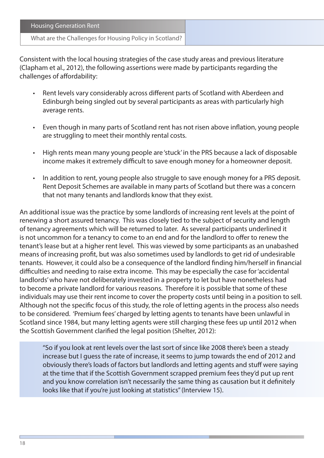| <b>Housing Generation Rent</b>                          |
|---------------------------------------------------------|
| What are the Challenges for Housing Policy in Scotland? |

Consistent with the local housing strategies of the case study areas and previous literature (Clapham et al., 2012), the following assertions were made by participants regarding the challenges of affordability:

- Rent levels vary considerably across different parts of Scotland with Aberdeen and Edinburgh being singled out by several participants as areas with particularly high average rents.
- Even though in many parts of Scotland rent has not risen above inflation, young people are struggling to meet their monthly rental costs.
- High rents mean many young people are 'stuck' in the PRS because a lack of disposable income makes it extremely difficult to save enough money for a homeowner deposit.
- In addition to rent, young people also struggle to save enough money for a PRS deposit. Rent Deposit Schemes are available in many parts of Scotland but there was a concern that not many tenants and landlords know that they exist.

An additional issue was the practice by some landlords of increasing rent levels at the point of renewing a short assured tenancy. This was closely tied to the subject of security and length of tenancy agreements which will be returned to later. As several participants underlined it is not uncommon for a tenancy to come to an end and for the landlord to offer to renew the tenant's lease but at a higher rent level. This was viewed by some participants as an unabashed means of increasing profit, but was also sometimes used by landlords to get rid of undesirable tenants. However, it could also be a consequence of the landlord finding him/herself in financial difficulties and needing to raise extra income. This may be especially the case for 'accidental landlords' who have not deliberately invested in a property to let but have nonetheless had to become a private landlord for various reasons. Therefore it is possible that some of these individuals may use their rent income to cover the property costs until being in a position to sell. Although not the specific focus of this study, the role of letting agents in the process also needs to be considered. 'Premium fees' charged by letting agents to tenants have been unlawful in Scotland since 1984, but many letting agents were still charging these fees up until 2012 when the Scottish Government clarified the legal position (Shelter, 2012):

"So if you look at rent levels over the last sort of since like 2008 there's been a steady increase but I guess the rate of increase, it seems to jump towards the end of 2012 and obviously there's loads of factors but landlords and letting agents and stuff were saying at the time that if the Scottish Government scrapped premium fees they'd put up rent and you know correlation isn't necessarily the same thing as causation but it definitely looks like that if you're just looking at statistics" (Interview 15).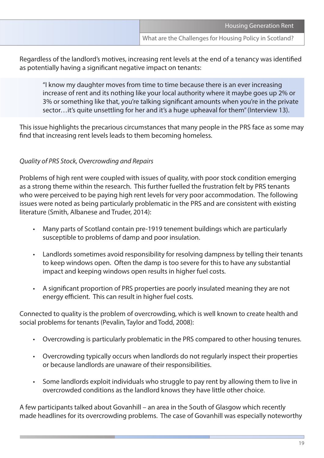Regardless of the landlord's motives, increasing rent levels at the end of a tenancy was identified as potentially having a significant negative impact on tenants:

"I know my daughter moves from time to time because there is an ever increasing increase of rent and its nothing like your local authority where it maybe goes up 2% or 3% or something like that, you're talking significant amounts when you're in the private sector…it's quite unsettling for her and it's a huge upheaval for them" (Interview 13).

This issue highlights the precarious circumstances that many people in the PRS face as some may find that increasing rent levels leads to them becoming homeless.

#### *Quality of PRS Stock, Overcrowding and Repairs*

Problems of high rent were coupled with issues of quality, with poor stock condition emerging as a strong theme within the research. This further fuelled the frustration felt by PRS tenants who were perceived to be paying high rent levels for very poor accommodation. The following issues were noted as being particularly problematic in the PRS and are consistent with existing literature (Smith, Albanese and Truder, 2014):

- Many parts of Scotland contain pre-1919 tenement buildings which are particularly susceptible to problems of damp and poor insulation.
- Landlords sometimes avoid responsibility for resolving dampness by telling their tenants to keep windows open. Often the damp is too severe for this to have any substantial impact and keeping windows open results in higher fuel costs.
- A significant proportion of PRS properties are poorly insulated meaning they are not energy efficient. This can result in higher fuel costs.

Connected to quality is the problem of overcrowding, which is well known to create health and social problems for tenants (Pevalin, Taylor and Todd, 2008):

- Overcrowding is particularly problematic in the PRS compared to other housing tenures.
- Overcrowding typically occurs when landlords do not regularly inspect their properties or because landlords are unaware of their responsibilities.
- Some landlords exploit individuals who struggle to pay rent by allowing them to live in overcrowded conditions as the landlord knows they have little other choice.

A few participants talked about Govanhill – an area in the South of Glasgow which recently made headlines for its overcrowding problems. The case of Govanhill was especially noteworthy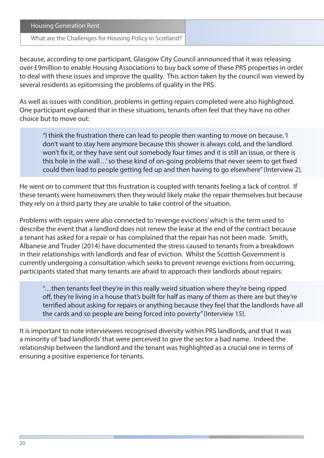What are the Challenges for Housing Policy in Scotland?

because, according to one participant, Glasgow City Council announced that it was releasing over £9million to enable Housing Associations to buy back some of these PRS properties in order to deal with these issues and improve the quality. This action taken by the council was viewed by several residents as epitomising the problems of quality in the PRS.

As well as issues with condition, problems in getting repairs completed were also highlighted. One participant explained that in these situations, tenants often feel that they have no other choice but to move out:

"I think the frustration there can lead to people then wanting to move on because, 'I don't want to stay here anymore because this shower is always cold, and the landlord won't fix it, or they have sent out somebody four times and it is still an issue, or there is this hole in the wall…' so these kind of on-going problems that never seem to get fixed could then lead to people getting fed up and then having to go elsewhere" (Interview 2).

He went on to comment that this frustration is coupled with tenants feeling a lack of control. If these tenants were homeowners then they would likely make the repair themselves but because they rely on a third party they are unable to take control of the situation.

Problems with repairs were also connected to 'revenge evictions' which is the term used to describe the event that a landlord does not renew the lease at the end of the contract because a tenant has asked for a repair or has complained that the repair has not been made. Smith, Albanese and Truder (2014) have documented the stress caused to tenants from a breakdown in their relationships with landlords and fear of eviction. Whilst the Scottish Government is currently undergoing a consultation which seeks to prevent revenge evictions from occurring, participants stated that many tenants are afraid to approach their landlords about repairs:

"…then tenants feel they're in this really weird situation where they're being ripped off, they're living in a house that's built for half as many of them as there are but they're terrified about asking for repairs or anything because they feel that the landlords have all the cards and so people are being forced into poverty" (Interview 15).

It is important to note interviewees recognised diversity within PRS landlords, and that it was a minority of 'bad landlords' that were perceived to give the sector a bad name. Indeed the relationship between the landlord and the tenant was highlighted as a crucial one in terms of ensuring a positive experience for tenants.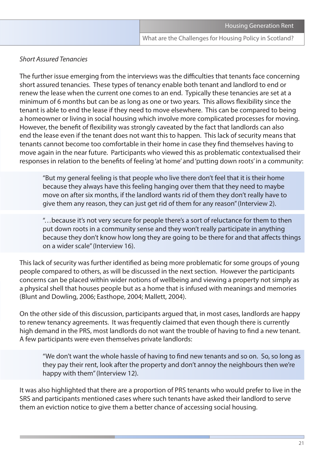#### *Short Assured Tenancies*

The further issue emerging from the interviews was the difficulties that tenants face concerning short assured tenancies. These types of tenancy enable both tenant and landlord to end or renew the lease when the current one comes to an end. Typically these tenancies are set at a minimum of 6 months but can be as long as one or two years. This allows flexibility since the tenant is able to end the lease if they need to move elsewhere. This can be compared to being a homeowner or living in social housing which involve more complicated processes for moving. However, the benefit of flexibility was strongly caveated by the fact that landlords can also end the lease even if the tenant does not want this to happen. This lack of security means that tenants cannot become too comfortable in their home in case they find themselves having to move again in the near future. Participants who viewed this as problematic contextualised their responses in relation to the benefits of feeling 'at home' and 'putting down roots' in a community:

"But my general feeling is that people who live there don't feel that it is their home because they always have this feeling hanging over them that they need to maybe move on after six months, if the landlord wants rid of them they don't really have to give them any reason, they can just get rid of them for any reason" (Interview 2).

"…because it's not very secure for people there's a sort of reluctance for them to then put down roots in a community sense and they won't really participate in anything because they don't know how long they are going to be there for and that affects things on a wider scale" (Interview 16).

This lack of security was further identified as being more problematic for some groups of young people compared to others, as will be discussed in the next section. However the participants concerns can be placed within wider notions of wellbeing and viewing a property not simply as a physical shell that houses people but as a home that is infused with meanings and memories (Blunt and Dowling, 2006; Easthope, 2004; Mallett, 2004).

On the other side of this discussion, participants argued that, in most cases, landlords are happy to renew tenancy agreements. It was frequently claimed that even though there is currently high demand in the PRS, most landlords do not want the trouble of having to find a new tenant. A few participants were even themselves private landlords:

"We don't want the whole hassle of having to find new tenants and so on. So, so long as they pay their rent, look after the property and don't annoy the neighbours then we're happy with them" (Interview 12).

It was also highlighted that there are a proportion of PRS tenants who would prefer to live in the SRS and participants mentioned cases where such tenants have asked their landlord to serve them an eviction notice to give them a better chance of accessing social housing.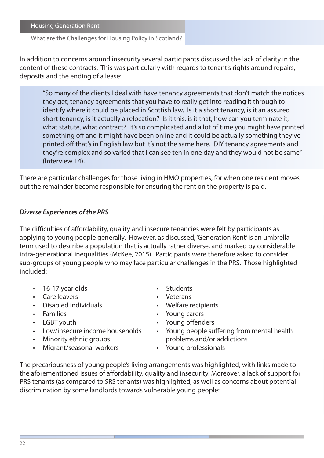$22$ 

Housing Generation Rent

#### What are the Challenges for Housing Policy in Scotland?

In addition to concerns around insecurity several participants discussed the lack of clarity in the content of these contracts. This was particularly with regards to tenant's rights around repairs, deposits and the ending of a lease:

"So many of the clients I deal with have tenancy agreements that don't match the notices they get; tenancy agreements that you have to really get into reading it through to identify where it could be placed in Scottish law. Is it a short tenancy, is it an assured short tenancy, is it actually a relocation? Is it this, is it that, how can you terminate it, what statute, what contract? It's so complicated and a lot of time you might have printed something off and it might have been online and it could be actually something they've printed off that's in English law but it's not the same here. DIY tenancy agreements and they're complex and so varied that I can see ten in one day and they would not be same" (Interview 14).

There are particular challenges for those living in HMO properties, for when one resident moves out the remainder become responsible for ensuring the rent on the property is paid.

#### *Diverse Experiences of the PRS*

The difficulties of affordability, quality and insecure tenancies were felt by participants as applying to young people generally. However, as discussed, 'Generation Rent' is an umbrella term used to describe a population that is actually rather diverse, and marked by considerable intra-generational inequalities (McKee, 2015). Participants were therefore asked to consider sub-groups of young people who may face particular challenges in the PRS. Those highlighted included:

- 16-17 year olds Students
- Care leavers **•** Veterans
- 
- 
- 
- 
- 
- Migrant/seasonal workers Young professionals
- 
- 
- Disabled individuals Welfare recipients
- Families Young carers
- LGBT youth Young offenders
- Low/insecure income households Young people suffering from mental health • Minority ethnic groups **problems** and/or addictions
	-

The precariousness of young people's living arrangements was highlighted, with links made to the aforementioned issues of affordability, quality and insecurity. Moreover, a lack of support for PRS tenants (as compared to SRS tenants) was highlighted, as well as concerns about potential discrimination by some landlords towards vulnerable young people: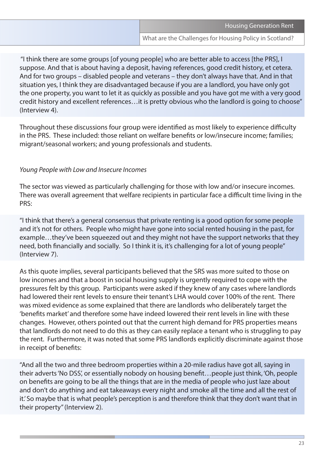"I think there are some groups [of young people] who are better able to access [the PRS], I suppose. And that is about having a deposit, having references, good credit history, et cetera. And for two groups – disabled people and veterans – they don't always have that. And in that situation yes, I think they are disadvantaged because if you are a landlord, you have only got the one property, you want to let it as quickly as possible and you have got me with a very good credit history and excellent references…it is pretty obvious who the landlord is going to choose" (Interview 4).

Throughout these discussions four group were identified as most likely to experience difficulty in the PRS. These included: those reliant on welfare benefits or low/insecure income; families; migrant/seasonal workers; and young professionals and students.

#### *Young People with Low and Insecure Incomes*

The sector was viewed as particularly challenging for those with low and/or insecure incomes. There was overall agreement that welfare recipients in particular face a difficult time living in the PRS:

"I think that there's a general consensus that private renting is a good option for some people and it's not for others. People who might have gone into social rented housing in the past, for example…they've been squeezed out and they might not have the support networks that they need, both financially and socially. So I think it is, it's challenging for a lot of young people" (Interview 7).

As this quote implies, several participants believed that the SRS was more suited to those on low incomes and that a boost in social housing supply is urgently required to cope with the pressures felt by this group. Participants were asked if they knew of any cases where landlords had lowered their rent levels to ensure their tenant's LHA would cover 100% of the rent. There was mixed evidence as some explained that there are landlords who deliberately target the 'benefits market' and therefore some have indeed lowered their rent levels in line with these changes. However, others pointed out that the current high demand for PRS properties means that landlords do not need to do this as they can easily replace a tenant who is struggling to pay the rent. Furthermore, it was noted that some PRS landlords explicitly discriminate against those in receipt of benefits:

"And all the two and three bedroom properties within a 20-mile radius have got all, saying in their adverts 'No DSS', or essentially nobody on housing benefit…people just think, 'Oh, people on benefits are going to be all the things that are in the media of people who just laze about and don't do anything and eat takeaways every night and smoke all the time and all the rest of it.' So maybe that is what people's perception is and therefore think that they don't want that in their property" (Interview 2).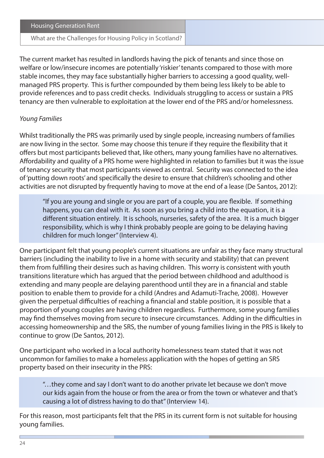What are the Challenges for Housing Policy in Scotland?

The current market has resulted in landlords having the pick of tenants and since those on welfare or low/insecure incomes are potentially 'riskier' tenants compared to those with more stable incomes, they may face substantially higher barriers to accessing a good quality, wellmanaged PRS property. This is further compounded by them being less likely to be able to provide references and to pass credit checks. Individuals struggling to access or sustain a PRS tenancy are then vulnerable to exploitation at the lower end of the PRS and/or homelessness.

#### *Young Families*

Whilst traditionally the PRS was primarily used by single people, increasing numbers of families are now living in the sector. Some may choose this tenure if they require the flexibility that it offers but most participants believed that, like others, many young families have no alternatives. Affordability and quality of a PRS home were highlighted in relation to families but it was the issue of tenancy security that most participants viewed as central. Security was connected to the idea of 'putting down roots' and specifically the desire to ensure that children's schooling and other activities are not disrupted by frequently having to move at the end of a lease (De Santos, 2012):

"If you are young and single or you are part of a couple, you are flexible. If something happens, you can deal with it. As soon as you bring a child into the equation, it is a different situation entirely. It is schools, nurseries, safety of the area. It is a much bigger responsibility, which is why I think probably people are going to be delaying having children for much longer" (Interview 4).

One participant felt that young people's current situations are unfair as they face many structural barriers (including the inability to live in a home with security and stability) that can prevent them from fulfilling their desires such as having children. This worry is consistent with youth transitions literature which has argued that the period between childhood and adulthood is extending and many people are delaying parenthood until they are in a financial and stable position to enable them to provide for a child (Andres and Adamuti-Trache, 2008). However given the perpetual difficulties of reaching a financial and stable position, it is possible that a proportion of young couples are having children regardless. Furthermore, some young families may find themselves moving from secure to insecure circumstances. Adding in the difficulties in accessing homeownership and the SRS, the number of young families living in the PRS is likely to continue to grow (De Santos, 2012).

One participant who worked in a local authority homelessness team stated that it was not uncommon for families to make a homeless application with the hopes of getting an SRS property based on their insecurity in the PRS:

"…they come and say I don't want to do another private let because we don't move our kids again from the house or from the area or from the town or whatever and that's causing a lot of distress having to do that" (Interview 14).

For this reason, most participants felt that the PRS in its current form is not suitable for housing young families.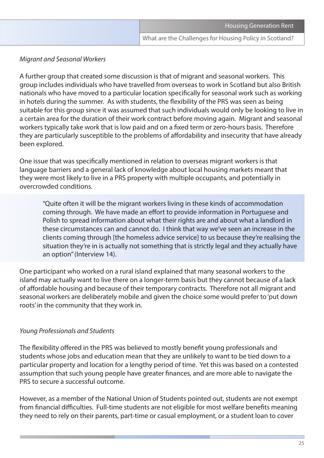#### *Migrant and Seasonal Workers*

A further group that created some discussion is that of migrant and seasonal workers. This group includes individuals who have travelled from overseas to work in Scotland but also British nationals who have moved to a particular location specifically for seasonal work such as working in hotels during the summer. As with students, the flexibility of the PRS was seen as being suitable for this group since it was assumed that such individuals would only be looking to live in a certain area for the duration of their work contract before moving again. Migrant and seasonal workers typically take work that is low paid and on a fixed term or zero-hours basis. Therefore they are particularly susceptible to the problems of affordability and insecurity that have already been explored.

One issue that was specifically mentioned in relation to overseas migrant workers is that language barriers and a general lack of knowledge about local housing markets meant that they were most likely to live in a PRS property with multiple occupants, and potentially in overcrowded conditions.

"Quite often it will be the migrant workers living in these kinds of accommodation coming through. We have made an effort to provide information in Portuguese and Polish to spread information about what their rights are and about what a landlord in these circumstances can and cannot do. I think that way we've seen an increase in the clients coming through [the homeless advice service] to us because they're realising the situation they're in is actually not something that is strictly legal and they actually have an option" (Interview 14).

One participant who worked on a rural island explained that many seasonal workers to the island may actually want to live there on a longer-term basis but they cannot because of a lack of affordable housing and because of their temporary contracts. Therefore not all migrant and seasonal workers are deliberately mobile and given the choice some would prefer to 'put down roots' in the community that they work in.

#### *Young Professionals and Students*

The flexibility offered in the PRS was believed to mostly benefit young professionals and students whose jobs and education mean that they are unlikely to want to be tied down to a particular property and location for a lengthy period of time. Yet this was based on a contested assumption that such young people have greater finances, and are more able to navigate the PRS to secure a successful outcome.

However, as a member of the National Union of Students pointed out, students are not exempt from financial difficulties. Full-time students are not eligible for most welfare benefits meaning they need to rely on their parents, part-time or casual employment, or a student loan to cover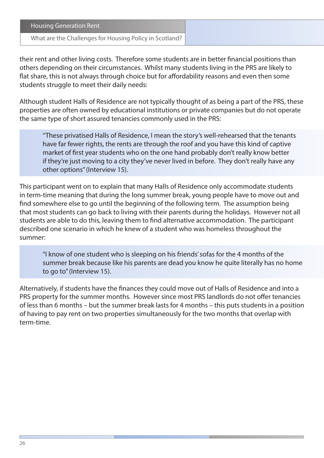What are the Challenges for Housing Policy in Scotland?

their rent and other living costs. Therefore some students are in better financial positions than others depending on their circumstances. Whilst many students living in the PRS are likely to flat share, this is not always through choice but for affordability reasons and even then some students struggle to meet their daily needs:

Although student Halls of Residence are not typically thought of as being a part of the PRS, these properties are often owned by educational institutions or private companies but do not operate the same type of short assured tenancies commonly used in the PRS:

"These privatised Halls of Residence, I mean the story's well-rehearsed that the tenants have far fewer rights, the rents are through the roof and you have this kind of captive market of first year students who on the one hand probably don't really know better if they're just moving to a city they've never lived in before. They don't really have any other options" (Interview 15).

This participant went on to explain that many Halls of Residence only accommodate students in term-time meaning that during the long summer break, young people have to move out and find somewhere else to go until the beginning of the following term. The assumption being that most students can go back to living with their parents during the holidays. However not all students are able to do this, leaving them to find alternative accommodation. The participant described one scenario in which he knew of a student who was homeless throughout the summer:

"I know of one student who is sleeping on his friends' sofas for the 4 months of the summer break because like his parents are dead you know he quite literally has no home to go to" (Interview 15).

Alternatively, if students have the finances they could move out of Halls of Residence and into a PRS property for the summer months. However since most PRS landlords do not offer tenancies of less than 6 months – but the summer break lasts for 4 months – this puts students in a position of having to pay rent on two properties simultaneously for the two months that overlap with term-time.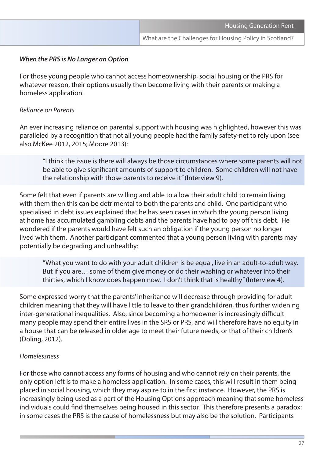#### *When the PRS is No Longer an Option*

For those young people who cannot access homeownership, social housing or the PRS for whatever reason, their options usually then become living with their parents or making a homeless application.

#### *Reliance on Parents*

An ever increasing reliance on parental support with housing was highlighted, however this was paralleled by a recognition that not all young people had the family safety-net to rely upon (see also McKee 2012, 2015; Moore 2013):

"I think the issue is there will always be those circumstances where some parents will not be able to give significant amounts of support to children. Some children will not have the relationship with those parents to receive it" (Interview 9).

Some felt that even if parents are willing and able to allow their adult child to remain living with them then this can be detrimental to both the parents and child. One participant who specialised in debt issues explained that he has seen cases in which the young person living at home has accumulated gambling debts and the parents have had to pay off this debt. He wondered if the parents would have felt such an obligation if the young person no longer lived with them. Another participant commented that a young person living with parents may potentially be degrading and unhealthy:

"What you want to do with your adult children is be equal, live in an adult-to-adult way. But if you are… some of them give money or do their washing or whatever into their thirties, which I know does happen now. I don't think that is healthy" (Interview 4).

Some expressed worry that the parents' inheritance will decrease through providing for adult children meaning that they will have little to leave to their grandchildren, thus further widening inter-generational inequalities. Also, since becoming a homeowner is increasingly difficult many people may spend their entire lives in the SRS or PRS, and will therefore have no equity in a house that can be released in older age to meet their future needs, or that of their children's (Doling, 2012).

#### *Homelessness*

For those who cannot access any forms of housing and who cannot rely on their parents, the only option left is to make a homeless application. In some cases, this will result in them being placed in social housing, which they may aspire to in the first instance. However, the PRS is increasingly being used as a part of the Housing Options approach meaning that some homeless individuals could find themselves being housed in this sector. This therefore presents a paradox: in some cases the PRS is the cause of homelessness but may also be the solution. Participants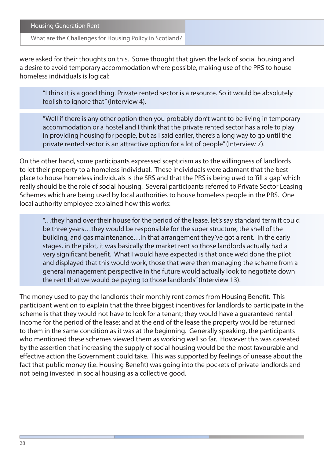| <b>Housing Generation Rent</b> |  |
|--------------------------------|--|
|                                |  |

were asked for their thoughts on this. Some thought that given the lack of social housing and a desire to avoid temporary accommodation where possible, making use of the PRS to house homeless individuals is logical:

"I think it is a good thing. Private rented sector is a resource. So it would be absolutely foolish to ignore that" (Interview 4).

"Well if there is any other option then you probably don't want to be living in temporary accommodation or a hostel and I think that the private rented sector has a role to play in providing housing for people, but as I said earlier, there's a long way to go until the private rented sector is an attractive option for a lot of people" (Interview 7).

On the other hand, some participants expressed scepticism as to the willingness of landlords to let their property to a homeless individual. These individuals were adamant that the best place to house homeless individuals is the SRS and that the PRS is being used to 'fill a gap' which really should be the role of social housing. Several participants referred to Private Sector Leasing Schemes which are being used by local authorities to house homeless people in the PRS. One local authority employee explained how this works:

"…they hand over their house for the period of the lease, let's say standard term it could be three years…they would be responsible for the super structure, the shell of the building, and gas maintenance…In that arrangement they've got a rent. In the early stages, in the pilot, it was basically the market rent so those landlords actually had a very significant benefit. What I would have expected is that once we'd done the pilot and displayed that this would work, those that were then managing the scheme from a general management perspective in the future would actually look to negotiate down the rent that we would be paying to those landlords" (Interview 13).

The money used to pay the landlords their monthly rent comes from Housing Benefit. This participant went on to explain that the three biggest incentives for landlords to participate in the scheme is that they would not have to look for a tenant; they would have a guaranteed rental income for the period of the lease; and at the end of the lease the property would be returned to them in the same condition as it was at the beginning. Generally speaking, the participants who mentioned these schemes viewed them as working well so far. However this was caveated by the assertion that increasing the supply of social housing would be the most favourable and effective action the Government could take. This was supported by feelings of unease about the fact that public money (i.e. Housing Benefit) was going into the pockets of private landlords and not being invested in social housing as a collective good.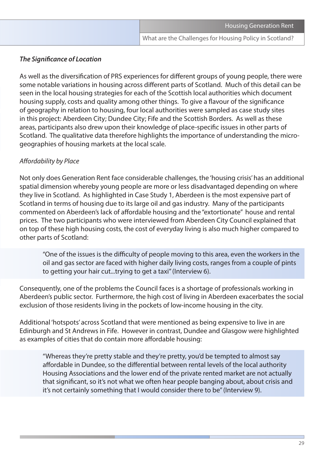#### *The Significance of Location*

As well as the diversification of PRS experiences for different groups of young people, there were some notable variations in housing across different parts of Scotland. Much of this detail can be seen in the local housing strategies for each of the Scottish local authorities which document housing supply, costs and quality among other things. To give a flavour of the significance of geography in relation to housing, four local authorities were sampled as case study sites in this project: Aberdeen City; Dundee City; Fife and the Scottish Borders. As well as these areas, participants also drew upon their knowledge of place-specific issues in other parts of Scotland. The qualitative data therefore highlights the importance of understanding the microgeographies of housing markets at the local scale.

#### *Affordability by Place*

Not only does Generation Rent face considerable challenges, the 'housing crisis' has an additional spatial dimension whereby young people are more or less disadvantaged depending on where they live in Scotland. As highlighted in Case Study 1, Aberdeen is the most expensive part of Scotland in terms of housing due to its large oil and gas industry. Many of the participants commented on Aberdeen's lack of affordable housing and the "extortionate" house and rental prices. The two participants who were interviewed from Aberdeen City Council explained that on top of these high housing costs, the cost of everyday living is also much higher compared to other parts of Scotland:

"One of the issues is the difficulty of people moving to this area, even the workers in the oil and gas sector are faced with higher daily living costs, ranges from a couple of pints to getting your hair cut...trying to get a taxi" (Interview 6).

Consequently, one of the problems the Council faces is a shortage of professionals working in Aberdeen's public sector. Furthermore, the high cost of living in Aberdeen exacerbates the social exclusion of those residents living in the pockets of low-income housing in the city.

Additional 'hotspots' across Scotland that were mentioned as being expensive to live in are Edinburgh and St Andrews in Fife. However in contrast, Dundee and Glasgow were highlighted as examples of cities that do contain more affordable housing:

"Whereas they're pretty stable and they're pretty, you'd be tempted to almost say affordable in Dundee, so the differential between rental levels of the local authority Housing Associations and the lower end of the private rented market are not actually that significant, so it's not what we often hear people banging about, about crisis and it's not certainly something that I would consider there to be" (Interview 9).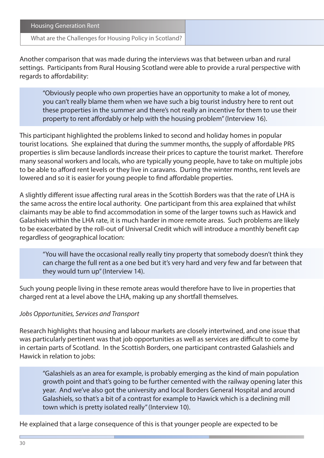#### What are the Challenges for Housing Policy in Scotland?

Another comparison that was made during the interviews was that between urban and rural settings. Participants from Rural Housing Scotland were able to provide a rural perspective with regards to affordability:

"Obviously people who own properties have an opportunity to make a lot of money, you can't really blame them when we have such a big tourist industry here to rent out these properties in the summer and there's not really an incentive for them to use their property to rent affordably or help with the housing problem" (Interview 16).

This participant highlighted the problems linked to second and holiday homes in popular tourist locations. She explained that during the summer months, the supply of affordable PRS properties is slim because landlords increase their prices to capture the tourist market. Therefore many seasonal workers and locals, who are typically young people, have to take on multiple jobs to be able to afford rent levels or they live in caravans. During the winter months, rent levels are lowered and so it is easier for young people to find affordable properties.

A slightly different issue affecting rural areas in the Scottish Borders was that the rate of LHA is the same across the entire local authority. One participant from this area explained that whilst claimants may be able to find accommodation in some of the larger towns such as Hawick and Galashiels within the LHA rate, it is much harder in more remote areas. Such problems are likely to be exacerbated by the roll-out of Universal Credit which will introduce a monthly benefit cap regardless of geographical location:

"You will have the occasional really really tiny property that somebody doesn't think they can charge the full rent as a one bed but it's very hard and very few and far between that they would turn up" (Interview 14).

Such young people living in these remote areas would therefore have to live in properties that charged rent at a level above the LHA, making up any shortfall themselves.

#### *Jobs Opportunities, Services and Transport*

Research highlights that housing and labour markets are closely intertwined, and one issue that was particularly pertinent was that job opportunities as well as services are difficult to come by in certain parts of Scotland. In the Scottish Borders, one participant contrasted Galashiels and Hawick in relation to jobs:

"Galashiels as an area for example, is probably emerging as the kind of main population growth point and that's going to be further cemented with the railway opening later this year. And we've also got the university and local Borders General Hospital and around Galashiels, so that's a bit of a contrast for example to Hawick which is a declining mill town which is pretty isolated really" (Interview 10).

He explained that a large consequence of this is that younger people are expected to be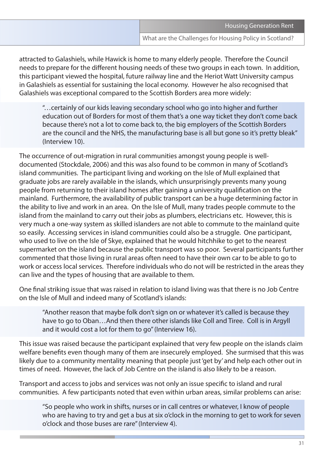attracted to Galashiels, while Hawick is home to many elderly people. Therefore the Council needs to prepare for the different housing needs of these two groups in each town. In addition, this participant viewed the hospital, future railway line and the Heriot Watt University campus in Galashiels as essential for sustaining the local economy. However he also recognised that Galashiels was exceptional compared to the Scottish Borders area more widely:

"…certainly of our kids leaving secondary school who go into higher and further education out of Borders for most of them that's a one way ticket they don't come back because there's not a lot to come back to, the big employers of the Scottish Borders are the council and the NHS, the manufacturing base is all but gone so it's pretty bleak" (Interview 10).

The occurrence of out-migration in rural communities amongst young people is welldocumented (Stockdale, 2006) and this was also found to be common in many of Scotland's island communities. The participant living and working on the Isle of Mull explained that graduate jobs are rarely available in the islands, which unsurprisingly prevents many young people from returning to their island homes after gaining a university qualification on the mainland. Furthermore, the availability of public transport can be a huge determining factor in the ability to live and work in an area. On the Isle of Mull, many trades people commute to the island from the mainland to carry out their jobs as plumbers, electricians etc. However, this is very much a one-way system as skilled islanders are not able to commute to the mainland quite so easily. Accessing services in island communities could also be a struggle. One participant, who used to live on the Isle of Skye, explained that he would hitchhike to get to the nearest supermarket on the island because the public transport was so poor. Several participants further commented that those living in rural areas often need to have their own car to be able to go to work or access local services. Therefore individuals who do not will be restricted in the areas they can live and the types of housing that are available to them.

One final striking issue that was raised in relation to island living was that there is no Job Centre on the Isle of Mull and indeed many of Scotland's islands:

"Another reason that maybe folk don't sign on or whatever it's called is because they have to go to Oban…And then there other islands like Coll and Tiree. Coll is in Argyll and it would cost a lot for them to go" (Interview 16).

This issue was raised because the participant explained that very few people on the islands claim welfare benefits even though many of them are insecurely employed. She surmised that this was likely due to a community mentality meaning that people just 'get by' and help each other out in times of need. However, the lack of Job Centre on the island is also likely to be a reason.

Transport and access to jobs and services was not only an issue specific to island and rural communities. A few participants noted that even within urban areas, similar problems can arise:

"So people who work in shifts, nurses or in call centres or whatever, I know of people who are having to try and get a bus at six o'clock in the morning to get to work for seven o'clock and those buses are rare" (Interview 4).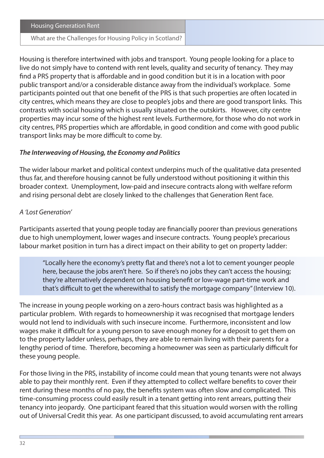What are the Challenges for Housing Policy in Scotland?

Housing is therefore intertwined with jobs and transport. Young people looking for a place to live do not simply have to contend with rent levels, quality and security of tenancy. They may find a PRS property that is affordable and in good condition but it is in a location with poor public transport and/or a considerable distance away from the individual's workplace. Some participants pointed out that one benefit of the PRS is that such properties are often located in city centres, which means they are close to people's jobs and there are good transport links. This contrasts with social housing which is usually situated on the outskirts. However, city centre properties may incur some of the highest rent levels. Furthermore, for those who do not work in city centres, PRS properties which are affordable, in good condition and come with good public transport links may be more difficult to come by.

#### *The Interweaving of Housing, the Economy and Politics*

The wider labour market and political context underpins much of the qualitative data presented thus far, and therefore housing cannot be fully understood without positioning it within this broader context. Unemployment, low-paid and insecure contracts along with welfare reform and rising personal debt are closely linked to the challenges that Generation Rent face.

#### *A 'Lost Generation'*

Participants asserted that young people today are financially poorer than previous generations due to high unemployment, lower wages and insecure contracts. Young people's precarious labour market position in turn has a direct impact on their ability to get on property ladder:

"Locally here the economy's pretty flat and there's not a lot to cement younger people here, because the jobs aren't here. So if there's no jobs they can't access the housing; they're alternatively dependent on housing benefit or low-wage part-time work and that's difficult to get the wherewithal to satisfy the mortgage company" (Interview 10).

The increase in young people working on a zero-hours contract basis was highlighted as a particular problem. With regards to homeownership it was recognised that mortgage lenders would not lend to individuals with such insecure income. Furthermore, inconsistent and low wages make it difficult for a young person to save enough money for a deposit to get them on to the property ladder unless, perhaps, they are able to remain living with their parents for a lengthy period of time. Therefore, becoming a homeowner was seen as particularly difficult for these young people.

For those living in the PRS, instability of income could mean that young tenants were not always able to pay their monthly rent. Even if they attempted to collect welfare benefits to cover their rent during these months of no pay, the benefits system was often slow and complicated. This time-consuming process could easily result in a tenant getting into rent arrears, putting their tenancy into jeopardy. One participant feared that this situation would worsen with the rolling out of Universal Credit this year. As one participant discussed, to avoid accumulating rent arrears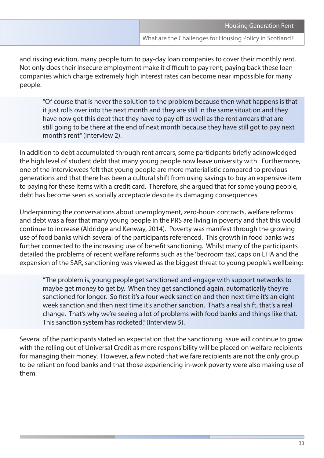and risking eviction, many people turn to pay-day loan companies to cover their monthly rent. Not only does their insecure employment make it difficult to pay rent; paying back these loan companies which charge extremely high interest rates can become near impossible for many people.

"Of course that is never the solution to the problem because then what happens is that it just rolls over into the next month and they are still in the same situation and they have now got this debt that they have to pay off as well as the rent arrears that are still going to be there at the end of next month because they have still got to pay next month's rent" (Interview 2).

In addition to debt accumulated through rent arrears, some participants briefly acknowledged the high level of student debt that many young people now leave university with. Furthermore, one of the interviewees felt that young people are more materialistic compared to previous generations and that there has been a cultural shift from using savings to buy an expensive item to paying for these items with a credit card. Therefore, she argued that for some young people, debt has become seen as socially acceptable despite its damaging consequences.

Underpinning the conversations about unemployment, zero-hours contracts, welfare reforms and debt was a fear that many young people in the PRS are living in poverty and that this would continue to increase (Aldridge and Kenway, 2014). Poverty was manifest through the growing use of food banks which several of the participants referenced. This growth in food banks was further connected to the increasing use of benefit sanctioning. Whilst many of the participants detailed the problems of recent welfare reforms such as the 'bedroom tax', caps on LHA and the expansion of the SAR, sanctioning was viewed as the biggest threat to young people's wellbeing:

"The problem is, young people get sanctioned and engage with support networks to maybe get money to get by. When they get sanctioned again, automatically they're sanctioned for longer. So first it's a four week sanction and then next time it's an eight week sanction and then next time it's another sanction. That's a real shift, that's a real change. That's why we're seeing a lot of problems with food banks and things like that. This sanction system has rocketed." (Interview 5).

Several of the participants stated an expectation that the sanctioning issue will continue to grow with the rolling out of Universal Credit as more responsibility will be placed on welfare recipients for managing their money. However, a few noted that welfare recipients are not the only group to be reliant on food banks and that those experiencing in-work poverty were also making use of them.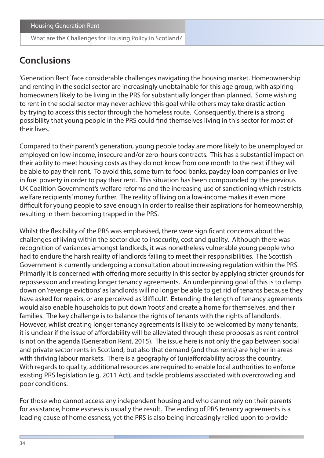## **Conclusions**

'Generation Rent' face considerable challenges navigating the housing market. Homeownership and renting in the social sector are increasingly unobtainable for this age group, with aspiring homeowners likely to be living in the PRS for substantially longer than planned. Some wishing to rent in the social sector may never achieve this goal while others may take drastic action by trying to access this sector through the homeless route. Consequently, there is a strong possibility that young people in the PRS could find themselves living in this sector for most of their lives.

Compared to their parent's generation, young people today are more likely to be unemployed or employed on low-income, insecure and/or zero-hours contracts. This has a substantial impact on their ability to meet housing costs as they do not know from one month to the next if they will be able to pay their rent. To avoid this, some turn to food banks, payday loan companies or live in fuel poverty in order to pay their rent. This situation has been compounded by the previous UK Coalition Government's welfare reforms and the increasing use of sanctioning which restricts welfare recipients' money further. The reality of living on a low-income makes it even more difficult for young people to save enough in order to realise their aspirations for homeownership, resulting in them becoming trapped in the PRS.

Whilst the flexibility of the PRS was emphasised, there were significant concerns about the challenges of living within the sector due to insecurity, cost and quality. Although there was recognition of variances amongst landlords, it was nonetheless vulnerable young people who had to endure the harsh reality of landlords failing to meet their responsibilities. The Scottish Government is currently undergoing a consultation about increasing regulation within the PRS. Primarily it is concerned with offering more security in this sector by applying stricter grounds for repossession and creating longer tenancy agreements. An underpinning goal of this is to clamp down on 'revenge evictions' as landlords will no longer be able to get rid of tenants because they have asked for repairs, or are perceived as 'difficult'. Extending the length of tenancy agreements would also enable households to put down 'roots' and create a home for themselves, and their families. The key challenge is to balance the rights of tenants with the rights of landlords. However, whilst creating longer tenancy agreements is likely to be welcomed by many tenants, it is unclear if the issue of affordability will be alleviated through these proposals as rent control is not on the agenda (Generation Rent, 2015). The issue here is not only the gap between social and private sector rents in Scotland, but also that demand (and thus rents) are higher in areas with thriving labour markets. There is a geography of (un)affordability across the country. With regards to quality, additional resources are required to enable local authorities to enforce existing PRS legislation (e.g. 2011 Act), and tackle problems associated with overcrowding and poor conditions.

For those who cannot access any independent housing and who cannot rely on their parents for assistance, homelessness is usually the result. The ending of PRS tenancy agreements is a leading cause of homelessness, yet the PRS is also being increasingly relied upon to provide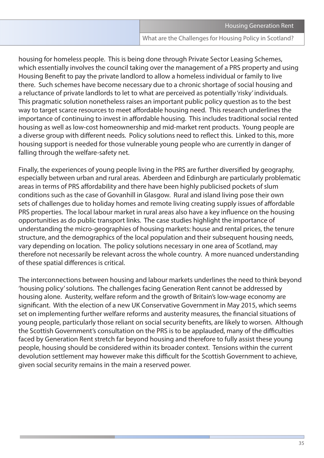housing for homeless people. This is being done through Private Sector Leasing Schemes, which essentially involves the council taking over the management of a PRS property and using Housing Benefit to pay the private landlord to allow a homeless individual or family to live there. Such schemes have become necessary due to a chronic shortage of social housing and a reluctance of private landlords to let to what are perceived as potentially 'risky' individuals. This pragmatic solution nonetheless raises an important public policy question as to the best way to target scarce resources to meet affordable housing need. This research underlines the importance of continuing to invest in affordable housing. This includes traditional social rented housing as well as low-cost homeownership and mid-market rent products. Young people are a diverse group with different needs. Policy solutions need to reflect this. Linked to this, more housing support is needed for those vulnerable young people who are currently in danger of falling through the welfare-safety net.

Finally, the experiences of young people living in the PRS are further diversified by geography, especially between urban and rural areas. Aberdeen and Edinburgh are particularly problematic areas in terms of PRS affordability and there have been highly publicised pockets of slum conditions such as the case of Govanhill in Glasgow. Rural and island living pose their own sets of challenges due to holiday homes and remote living creating supply issues of affordable PRS properties. The local labour market in rural areas also have a key influence on the housing opportunities as do public transport links. The case studies highlight the importance of understanding the micro-geographies of housing markets: house and rental prices, the tenure structure, and the demographics of the local population and their subsequent housing needs, vary depending on location. The policy solutions necessary in one area of Scotland, may therefore not necessarily be relevant across the whole country. A more nuanced understanding of these spatial differences is critical.

The interconnections between housing and labour markets underlines the need to think beyond 'housing policy' solutions. The challenges facing Generation Rent cannot be addressed by housing alone. Austerity, welfare reform and the growth of Britain's low-wage economy are significant. With the election of a new UK Conservative Government in May 2015, which seems set on implementing further welfare reforms and austerity measures, the financial situations of young people, particularly those reliant on social security benefits, are likely to worsen. Although the Scottish Government's consultation on the PRS is to be applauded, many of the difficulties faced by Generation Rent stretch far beyond housing and therefore to fully assist these young people, housing should be considered within its broader context. Tensions within the current devolution settlement may however make this difficult for the Scottish Government to achieve, given social security remains in the main a reserved power.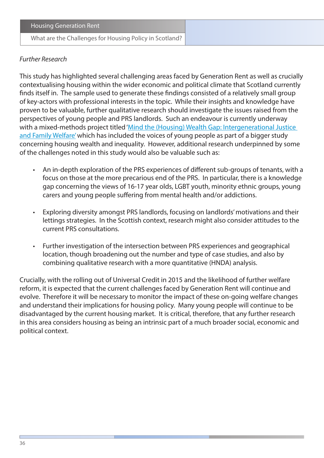#### *Further Research*

This study has highlighted several challenging areas faced by Generation Rent as well as crucially contextualising housing within the wider economic and political climate that Scotland currently finds itself in. The sample used to generate these findings consisted of a relatively small group of key-actors with professional interests in the topic. While their insights and knowledge have proven to be valuable, further qualitative research should investigate the issues raised from the perspectives of young people and PRS landlords. Such an endeavour is currently underway with a mixed-methods project titled 'Mind the (Housing) Wealth Gap: Intergenerational Justice [and Family Welfare'](http://wealthgap.wp.st-andrews.ac.uk/) which has included the voices of young people as part of a bigger study concerning housing wealth and inequality. However, additional research underpinned by some of the challenges noted in this study would also be valuable such as:

- An in-depth exploration of the PRS experiences of different sub-groups of tenants, with a focus on those at the more precarious end of the PRS. In particular, there is a knowledge gap concerning the views of 16-17 year olds, LGBT youth, minority ethnic groups, young carers and young people suffering from mental health and/or addictions.
- Exploring diversity amongst PRS landlords, focusing on landlords' motivations and their lettings strategies. In the Scottish context, research might also consider attitudes to the current PRS consultations.
- Further investigation of the intersection between PRS experiences and geographical location, though broadening out the number and type of case studies, and also by combining qualitative research with a more quantitative (HNDA) analysis.

Crucially, with the rolling out of Universal Credit in 2015 and the likelihood of further welfare reform, it is expected that the current challenges faced by Generation Rent will continue and evolve. Therefore it will be necessary to monitor the impact of these on-going welfare changes and understand their implications for housing policy. Many young people will continue to be disadvantaged by the current housing market. It is critical, therefore, that any further research in this area considers housing as being an intrinsic part of a much broader social, economic and political context.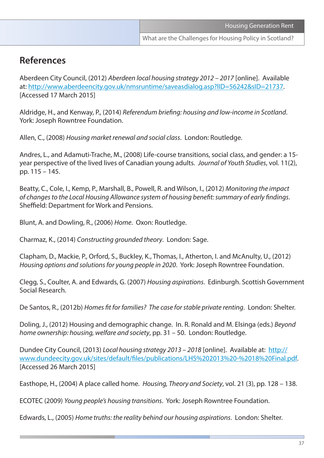## **References**

Aberdeen City Council, (2012) *Aberdeen local housing strategy 2012 – 2017* [online]. Available at: [http://www.aberdeencity.gov.uk/nmsruntime/saveasdialog.asp?lID=56242&sID=21737.](http://www.aberdeencity.gov.uk/nmsruntime/saveasdialog.asp?lID=56242&sID=21737) [Accessed 17 March 2015]

Aldridge, H., and Kenway, P., (2014) *Referendum briefing: housing and low-income in Scotland*. York: Joseph Rowntree Foundation.

Allen, C., (2008) *Housing market renewal and social class*. London: Routledge.

Andres, L., and Adamuti-Trache, M., (2008) Life-course transitions, social class, and gender: a 15 year perspective of the lived lives of Canadian young adults. *Journal of Youth Studies*, vol. 11(2), pp. 115 – 145.

Beatty, C., Cole, I., Kemp, P., Marshall, B., Powell, R. and Wilson, I., (2012) *Monitoring the impact of changes to the Local Housing Allowance system of housing benefit: summary of early findings*. Sheffield: Department for Work and Pensions.

Blunt, A. and Dowling, R., (2006) *Home*. Oxon: Routledge.

Charmaz, K., (2014) *Constructing grounded theory*. London: Sage.

Clapham, D., Mackie, P., Orford, S., Buckley, K., Thomas, I., Atherton, I. and McAnulty, U., (2012) *Housing options and solutions for young people in 2020*. York: Joseph Rowntree Foundation.

Clegg, S., Coulter, A. and Edwards, G. (2007) *Housing aspirations*. Edinburgh. Scottish Government Social Research.

De Santos, R., (2012b) *Homes fit for families? The case for stable private renting*. London: Shelter.

Doling, J., (2012) Housing and demographic change. In. R. Ronald and M. Elsinga (eds.) *Beyond home ownership: housing, welfare and society*, pp. 31 – 50. London: Routledge.

Dundee City Council, (2013) *Local housing strategy 2013 – 2018* [online]. Available at: [http://](http://www.dundeecity.gov.uk/sites/default/files/publications/LHS%202013%20-%2018%20Final.pdf) [www.dundeecity.gov.uk/sites/default/files/publications/LHS%202013%20-%2018%20Final.pdf.](http://www.dundeecity.gov.uk/sites/default/files/publications/LHS%202013%20-%2018%20Final.pdf) [Accessed 26 March 2015]

Easthope, H., (2004) A place called home. *Housing, Theory and Society*, vol. 21 (3), pp. 128 – 138.

ECOTEC (2009) *Young people's housing transitions*. York: Joseph Rowntree Foundation.

Edwards, L., (2005) *Home truths: the reality behind our housing aspirations*. London: Shelter.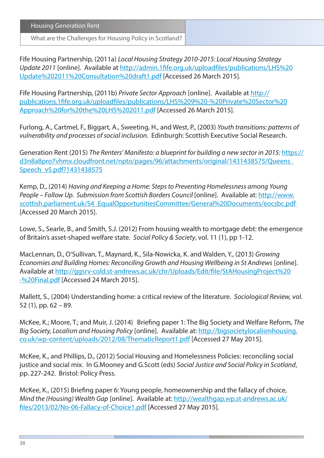What are the Challenges for Housing Policy in Scotland?

Fife Housing Partnership, (2011a) *Local Housing Strategy 2010-2015: Local Housing Strategy Update 2011* [online]. Available at [http://admin.1fife.org.uk/uploadfiles/publications/LHS%20](http://admin.1fife.org.uk/uploadfiles/publications/LHS%20Update%202011%20Consultation%20draft1.pdf) [Update%202011%20Consultation%20draft1.pdf](http://admin.1fife.org.uk/uploadfiles/publications/LHS%20Update%202011%20Consultation%20draft1.pdf) [Accessed 26 March 2015].

Fife Housing Partnership, (2011b) *Private Sector Approach* [online]. Available at [http://](http://publications.1fife.org.uk/uploadfiles/publications/LHS%209%20-%20Private%20Sector%20Approach%20for%20the%20LHS%202011.pdf) [publications.1fife.org.uk/uploadfiles/publications/LHS%209%20-%20Private%20Sector%20](http://publications.1fife.org.uk/uploadfiles/publications/LHS%209%20-%20Private%20Sector%20Approach%20for%20the%20LHS%202011.pdf) [Approach%20for%20the%20LHS%202011.pdf](http://publications.1fife.org.uk/uploadfiles/publications/LHS%209%20-%20Private%20Sector%20Approach%20for%20the%20LHS%202011.pdf) [Accessed 26 March 2015].

Furlong, A., Cartmel, F., Biggart, A., Sweeting, H., and West, P., (2003) *Youth transitions: patterns of vulnerability and processes of social inclusion.* Edinburgh: Scottish Executive Social Research.

Generation Rent (2015) *The Renters' Manifesto: a blueprint for building a new sector in 2015:* [https://](https://d3n8a8pro7vhmx.cloudfront.net/npto/pages/96/attachments/original/1431438575/Queens_Speech_v5.pdf?1431438575) [d3n8a8pro7vhmx.cloudfront.net/npto/pages/96/attachments/original/1431438575/Queens\\_](https://d3n8a8pro7vhmx.cloudfront.net/npto/pages/96/attachments/original/1431438575/Queens_Speech_v5.pdf?1431438575) [Speech\\_v5.pdf?1431438575](https://d3n8a8pro7vhmx.cloudfront.net/npto/pages/96/attachments/original/1431438575/Queens_Speech_v5.pdf?1431438575)

Kemp, D., (2014) *Having and Keeping a Home: Steps to Preventing Homelessness among Young People – Follow Up. Submission from Scottish Borders Council* [online]. Available at: [http://www.](http://www.scottish.parliament.uk/S4_EqualOpportunitiesCommittee/General%20Documents/eocsbc.pdf ) [scottish.parliament.uk/S4\\_EqualOpportunitiesCommittee/General%20Documents/eocsbc.pdf](http://www.scottish.parliament.uk/S4_EqualOpportunitiesCommittee/General%20Documents/eocsbc.pdf )  [Accessed 20 March 2015].

Lowe, S., Searle, B., and Smith, S.J. (2012) From housing wealth to mortgage debt: the emergence of Britain's asset-shaped welfare state. *Social Policy & Society*, vol. 11 (1), pp 1-12.

MacLennan, D., O'Sullivan, T., Maynard, K., Sila-Nowicka, K. and Walden, Y., (2013) *Growing Economies and Building Homes: Reconciling Growth and Housing Wellbeing in St Andrews* [online]. Available at [http://ggsrv-cold.st-andrews.ac.uk/chr/Uploads/Edit/file/StAHousingProject%20](http://ggsrv-cold.st-andrews.ac.uk/chr/Uploads/Edit/file/StAHousingProject%20-%20Final.pdf) [-%20Final.pdf](http://ggsrv-cold.st-andrews.ac.uk/chr/Uploads/Edit/file/StAHousingProject%20-%20Final.pdf) [Accessed 24 March 2015].

Mallett, S., (2004) Understanding home: a critical review of the literature. *Sociological Review,* vol. 52 (1), pp. 62 – 89.

McKee, K.; Moore, T.; and Muir, J. (2014) Briefing paper 1: The Big Society and Welfare Reform, *The Big Society, Localism and Housing Policy* [online]. Available at: [http://bigsocietylocalismhousing.](http://bigsocietylocalismhousing.co.uk/wp-content/uploads/2012/08/ThematicReport1.pdf) [co.uk/wp-content/uploads/2012/08/ThematicReport1.pdf](http://bigsocietylocalismhousing.co.uk/wp-content/uploads/2012/08/ThematicReport1.pdf) [Accessed 27 May 2015].

McKee, K., and Phillips, D., (2012) Social Housing and Homelessness Policies: reconciling social justice and social mix. In G.Mooney and G.Scott (eds) *Social Justice and Social Policy in Scotland*, pp. 227-242. Bristol: Policy Press.

McKee, K., (2015) Briefing paper 6: Young people, homeownership and the fallacy of choice, *Mind the (Housing) Wealth Gap* [online]. Available at: [http://wealthgap.wp.st-andrews.ac.uk/](http://wealthgap.wp.st-andrews.ac.uk/files/2013/02/No-06-Fallacy-of-Choice1.pdf) [files/2013/02/No-06-Fallacy-of-Choice1.pdf](http://wealthgap.wp.st-andrews.ac.uk/files/2013/02/No-06-Fallacy-of-Choice1.pdf) [Accessed 27 May 2015].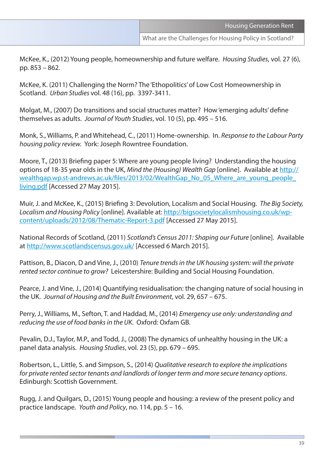McKee, K., (2012) Young people, homeownership and future welfare. *Housing Studies*, vol. 27 (6), pp. 853 – 862.

McKee, K. (2011) Challenging the Norm? The 'Ethopolitics' of Low Cost Homeownership in Scotland. *Urban Studies* vol. 48 (16), pp. 3397-3411.

Molgat, M., (2007) Do transitions and social structures matter? How 'emerging adults' define themselves as adults. *Journal of Youth Studies*, vol. 10 (5), pp. 495 – 516.

Monk, S., Williams, P. and Whitehead, C., (2011) Home-ownership. In. *Response to the Labour Party housing policy review.* York: Joseph Rowntree Foundation.

Moore, T., (2013) Briefing paper 5: Where are young people living? Understanding the housing options of 18-35 year olds in the UK, *Mind the (Housing) Wealth Gap* [online]. Available at [http://](http://wealthgap.wp.st-andrews.ac.uk/files/2013/02/WealthGap_No_05_Where_are_young_people_living.pdf) wealthgap.wp.st-andrews.ac.uk/files/2013/02/WealthGap\_No\_05\_Where\_are\_young\_people [living.pdf](http://wealthgap.wp.st-andrews.ac.uk/files/2013/02/WealthGap_No_05_Where_are_young_people_living.pdf) [Accessed 27 May 2015].

Muir, J. and McKee, K., (2015) Briefing 3: Devolution, Localism and Social Housing. *The Big Society, Localism and Housing Policy* [online]. Available at: [http://bigsocietylocalismhousing.co.uk/wp](http://bigsocietylocalismhousing.co.uk/wp-content/uploads/2012/08/Thematic-Report-3.pdf)[content/uploads/2012/08/Thematic-Report-3.pdf](http://bigsocietylocalismhousing.co.uk/wp-content/uploads/2012/08/Thematic-Report-3.pdf) [Accessed 27 May 2015].

National Records of Scotland, (2011) *Scotland's Census 2011: Shaping our Future* [online]. Available at<http://www.scotlandscensus.gov.uk/>[Accessed 6 March 2015].

Pattison, B., Diacon, D and Vine, J., (2010) *Tenure trends in the UK housing system: will the private rented sector continue to grow?* Leicestershire: Building and Social Housing Foundation.

Pearce, J. and Vine, J., (2014) Quantifying residualisation: the changing nature of social housing in the UK. *Journal of Housing and the Built Environment*, vol. 29, 657 – 675.

Perry, J., Williams, M., Sefton, T. and Haddad, M., (2014) *Emergency use only: understanding and reducing the use of food banks in the UK*. Oxford: Oxfam GB.

Pevalin, D.J., Taylor, M.P., and Todd, J., (2008) The dynamics of unhealthy housing in the UK: a panel data analysis. *Housing Studies*, vol. 23 (5), pp. 679 – 695.

Robertson, L., Little, S. and Simpson, S., (2014) *Qualitative research to explore the implications for private rented sector tenants and landlords of longer term and more secure tenancy options*. Edinburgh: Scottish Government.

Rugg, J. and Quilgars, D., (2015) Young people and housing: a review of the present policy and practice landscape. *Youth and Policy*, no. 114, pp. 5 – 16.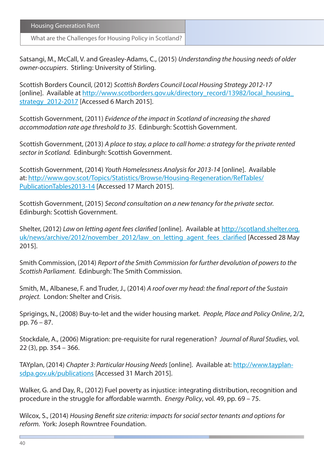What are the Challenges for Housing Policy in Scotland?

Satsangi, M., McCall, V. and Greasley-Adams, C., (2015) *Understanding the housing needs of older owner-occupiers*. Stirling: University of Stirling.

Scottish Borders Council, (2012) *Scottish Borders Council Local Housing Strategy 2012-17* [online]. Available at [http://www.scotborders.gov.uk/directory\\_record/13982/local\\_housing\\_](http://www.scotborders.gov.uk/directory_record/13982/local_housing_strategy_2012-2017) strategy 2012-2017 [Accessed 6 March 2015].

Scottish Government, (2011) *Evidence of the impact in Scotland of increasing the shared accommodation rate age threshold to 35*. Edinburgh: Scottish Government.

Scottish Government, (2013) *A place to stay, a place to call home: a strategy for the private rented sector in Scotland.* Edinburgh: Scottish Government.

Scottish Government, (2014) *Youth Homelessness Analysis for 2013-14* [online]. Available at: [http://www.gov.scot/Topics/Statistics/Browse/Housing-Regeneration/RefTables/](http://www.gov.scot/Topics/Statistics/Browse/Housing-Regeneration/RefTables/PublicationTables2013-14) [PublicationTables2013-14](http://www.gov.scot/Topics/Statistics/Browse/Housing-Regeneration/RefTables/PublicationTables2013-14) [Accessed 17 March 2015].

Scottish Government, (2015) *Second consultation on a new tenancy for the private sector.* Edinburgh: Scottish Government.

Shelter, (2012) *Law on letting agent fees clarified* [online]. Available at [http://scotland.shelter.org.](http://scotland.shelter.org.uk/news/archive/2012/november_2012/law_on_letting_agent_fees_clarified) [uk/news/archive/2012/november\\_2012/law\\_on\\_letting\\_agent\\_fees\\_clarified](http://scotland.shelter.org.uk/news/archive/2012/november_2012/law_on_letting_agent_fees_clarified) [Accessed 28 May 2015].

Smith Commission, (2014) *Report of the Smith Commission for further devolution of powers to the Scottish Parliament.* Edinburgh: The Smith Commission.

Smith, M., Albanese, F. and Truder, J., (2014) *A roof over my head: the final report of the Sustain project.* London: Shelter and Crisis.

Sprigings, N., (2008) Buy-to-let and the wider housing market. *People, Place and Policy Online*, 2/2, pp. 76 – 87.

Stockdale, A., (2006) Migration: pre-requisite for rural regeneration? *Journal of Rural Studies*, vol. 22 (3), pp. 354 – 366.

TAYplan, (2014) *Chapter 3: Particular Housing Needs* [online]. Available at: [http://www.tayplan](http://www.tayplan-sdpa.gov.uk/publications)[sdpa.gov.uk/publications](http://www.tayplan-sdpa.gov.uk/publications) [Accessed 31 March 2015].

Walker, G. and Day, R., (2012) Fuel poverty as injustice: integrating distribution, recognition and procedure in the struggle for affordable warmth. *Energy Policy*, vol. 49, pp. 69 – 75.

Wilcox, S., (2014) *Housing Benefit size criteria: impacts for social sector tenants and options for reform.* York: Joseph Rowntree Foundation.